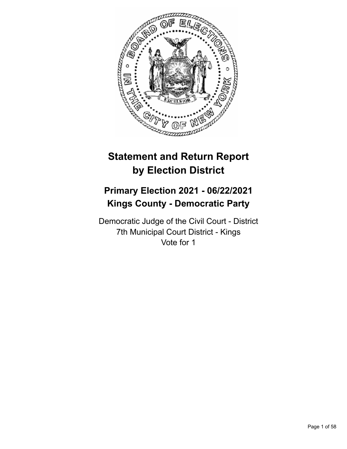

# **Statement and Return Report by Election District**

# **Primary Election 2021 - 06/22/2021 Kings County - Democratic Party**

Democratic Judge of the Civil Court - District 7th Municipal Court District - Kings Vote for 1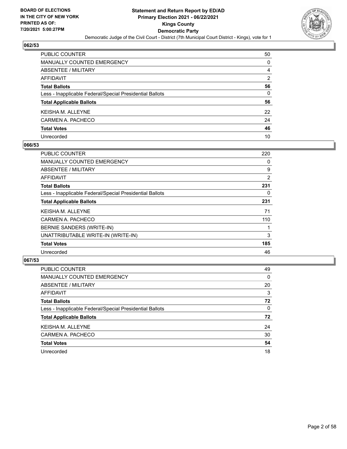

| PUBLIC COUNTER                                           | 50 |
|----------------------------------------------------------|----|
| MANUALLY COUNTED EMERGENCY                               | 0  |
| ABSENTEE / MILITARY                                      | 4  |
| AFFIDAVIT                                                | 2  |
| Total Ballots                                            | 56 |
| Less - Inapplicable Federal/Special Presidential Ballots | 0  |
| <b>Total Applicable Ballots</b>                          | 56 |
| KEISHA M. ALLEYNE                                        | 22 |
| CARMEN A. PACHECO                                        | 24 |
| <b>Total Votes</b>                                       | 46 |
| Unrecorded                                               | 10 |

#### **066/53**

| PUBLIC COUNTER                                           | 220 |
|----------------------------------------------------------|-----|
| <b>MANUALLY COUNTED EMERGENCY</b>                        | 0   |
| ABSENTEE / MILITARY                                      | 9   |
| AFFIDAVIT                                                | 2   |
| <b>Total Ballots</b>                                     | 231 |
| Less - Inapplicable Federal/Special Presidential Ballots | 0   |
| <b>Total Applicable Ballots</b>                          | 231 |
| <b>KEISHA M. ALLEYNE</b>                                 | 71  |
| CARMEN A. PACHECO                                        | 110 |
| BERNIE SANDERS (WRITE-IN)                                |     |
| UNATTRIBUTABLE WRITE-IN (WRITE-IN)                       | 3   |
| <b>Total Votes</b>                                       | 185 |
| Unrecorded                                               | 46  |

| PUBLIC COUNTER                                           | 49       |
|----------------------------------------------------------|----------|
| <b>MANUALLY COUNTED EMERGENCY</b>                        | $\Omega$ |
| ABSENTEE / MILITARY                                      | 20       |
| AFFIDAVIT                                                | 3        |
| <b>Total Ballots</b>                                     | 72       |
| Less - Inapplicable Federal/Special Presidential Ballots | $\Omega$ |
| <b>Total Applicable Ballots</b>                          | 72       |
| <b>KEISHA M. ALLEYNE</b>                                 | 24       |
| CARMEN A. PACHECO                                        | 30       |
| <b>Total Votes</b>                                       | 54       |
| Unrecorded                                               | 18       |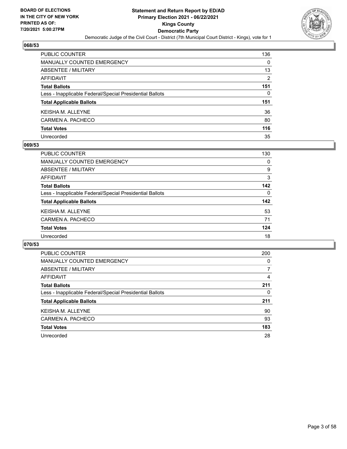

| <b>PUBLIC COUNTER</b>                                    | 136 |
|----------------------------------------------------------|-----|
| <b>MANUALLY COUNTED EMERGENCY</b>                        | 0   |
| <b>ABSENTEE / MILITARY</b>                               | 13  |
| <b>AFFIDAVIT</b>                                         | 2   |
| <b>Total Ballots</b>                                     | 151 |
| Less - Inapplicable Federal/Special Presidential Ballots | 0   |
| <b>Total Applicable Ballots</b>                          | 151 |
| <b>KEISHA M. ALLEYNE</b>                                 | 36  |
| CARMEN A. PACHECO                                        | 80  |
| <b>Total Votes</b>                                       | 116 |
| Unrecorded                                               | 35  |

#### **069/53**

| <b>PUBLIC COUNTER</b>                                    | 130      |
|----------------------------------------------------------|----------|
| MANUALLY COUNTED EMERGENCY                               | 0        |
| ABSENTEE / MILITARY                                      | 9        |
| AFFIDAVIT                                                | 3        |
| <b>Total Ballots</b>                                     | 142      |
| Less - Inapplicable Federal/Special Presidential Ballots | $\Omega$ |
| <b>Total Applicable Ballots</b>                          | 142      |
| <b>KEISHA M. ALLEYNE</b>                                 | 53       |
| CARMEN A. PACHECO                                        | 71       |
| <b>Total Votes</b>                                       | 124      |
| Unrecorded                                               | 18       |

| <b>PUBLIC COUNTER</b>                                    | 200 |
|----------------------------------------------------------|-----|
| <b>MANUALLY COUNTED EMERGENCY</b>                        | 0   |
| ABSENTEE / MILITARY                                      | 7   |
| <b>AFFIDAVIT</b>                                         | 4   |
| <b>Total Ballots</b>                                     | 211 |
| Less - Inapplicable Federal/Special Presidential Ballots | 0   |
| <b>Total Applicable Ballots</b>                          | 211 |
| <b>KEISHA M. ALLEYNE</b>                                 | 90  |
| CARMEN A. PACHECO                                        | 93  |
| <b>Total Votes</b>                                       | 183 |
| Unrecorded                                               | 28  |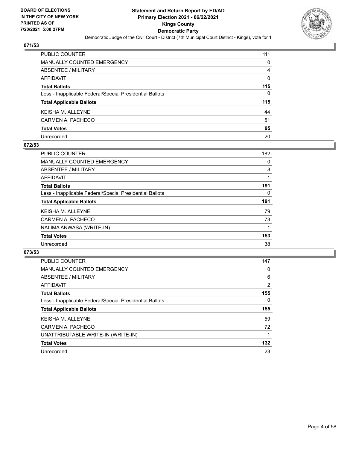

| PUBLIC COUNTER                                           | 111 |
|----------------------------------------------------------|-----|
| <b>MANUALLY COUNTED EMERGENCY</b>                        | 0   |
| ABSENTEE / MILITARY                                      | 4   |
| AFFIDAVIT                                                | 0   |
| <b>Total Ballots</b>                                     | 115 |
| Less - Inapplicable Federal/Special Presidential Ballots | 0   |
| <b>Total Applicable Ballots</b>                          | 115 |
| KEISHA M. ALLEYNE                                        | 44  |
| CARMEN A. PACHECO                                        | 51  |
| <b>Total Votes</b>                                       | 95  |
| Unrecorded                                               | 20  |

#### **072/53**

| <b>PUBLIC COUNTER</b>                                    | 182 |
|----------------------------------------------------------|-----|
| MANUALLY COUNTED EMERGENCY                               | 0   |
| ABSENTEE / MILITARY                                      | 8   |
| AFFIDAVIT                                                | 1   |
| <b>Total Ballots</b>                                     | 191 |
| Less - Inapplicable Federal/Special Presidential Ballots | 0   |
| <b>Total Applicable Ballots</b>                          | 191 |
| <b>KEISHA M. ALLEYNE</b>                                 | 79  |
| CARMEN A. PACHECO                                        | 73  |
| NALIMA ANWASA (WRITE-IN)                                 |     |
| <b>Total Votes</b>                                       | 153 |
| Unrecorded                                               | 38  |

| <b>PUBLIC COUNTER</b>                                    | 147            |
|----------------------------------------------------------|----------------|
| MANUALLY COUNTED EMERGENCY                               | 0              |
| ABSENTEE / MILITARY                                      | 6              |
| AFFIDAVIT                                                | $\overline{2}$ |
| <b>Total Ballots</b>                                     | 155            |
| Less - Inapplicable Federal/Special Presidential Ballots | $\Omega$       |
| <b>Total Applicable Ballots</b>                          | 155            |
| <b>KEISHA M. ALLEYNE</b>                                 | 59             |
| CARMEN A. PACHECO                                        | 72             |
| UNATTRIBUTABLE WRITE-IN (WRITE-IN)                       |                |
| <b>Total Votes</b>                                       | 132            |
| Unrecorded                                               | 23             |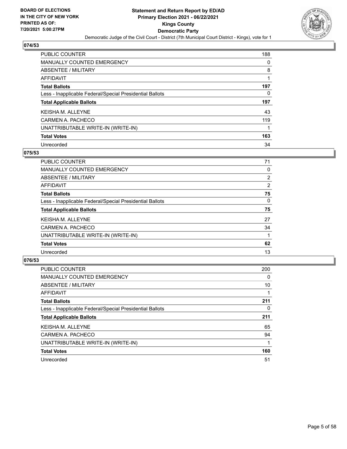

| PUBLIC COUNTER                                           | 188 |
|----------------------------------------------------------|-----|
| <b>MANUALLY COUNTED EMERGENCY</b>                        | 0   |
| <b>ABSENTEE / MILITARY</b>                               | 8   |
| AFFIDAVIT                                                |     |
| <b>Total Ballots</b>                                     | 197 |
| Less - Inapplicable Federal/Special Presidential Ballots | 0   |
| <b>Total Applicable Ballots</b>                          | 197 |
| <b>KEISHA M. ALLEYNE</b>                                 | 43  |
| CARMEN A. PACHECO                                        | 119 |
| UNATTRIBUTABLE WRITE-IN (WRITE-IN)                       |     |
| <b>Total Votes</b>                                       | 163 |
| Unrecorded                                               | 34  |

#### **075/53**

| <b>PUBLIC COUNTER</b>                                    | 71             |
|----------------------------------------------------------|----------------|
| <b>MANUALLY COUNTED EMERGENCY</b>                        | 0              |
| ABSENTEE / MILITARY                                      | $\overline{2}$ |
| <b>AFFIDAVIT</b>                                         | $\overline{2}$ |
| <b>Total Ballots</b>                                     | 75             |
| Less - Inapplicable Federal/Special Presidential Ballots | $\Omega$       |
| <b>Total Applicable Ballots</b>                          | 75             |
| <b>KEISHA M. ALLEYNE</b>                                 | 27             |
| CARMEN A. PACHECO                                        | 34             |
| UNATTRIBUTABLE WRITE-IN (WRITE-IN)                       |                |
| <b>Total Votes</b>                                       | 62             |
| Unrecorded                                               | 13             |

| <b>PUBLIC COUNTER</b>                                    | 200      |
|----------------------------------------------------------|----------|
| MANUALLY COUNTED EMERGENCY                               | 0        |
| ABSENTEE / MILITARY                                      | 10       |
| <b>AFFIDAVIT</b>                                         |          |
| <b>Total Ballots</b>                                     | 211      |
| Less - Inapplicable Federal/Special Presidential Ballots | $\Omega$ |
| <b>Total Applicable Ballots</b>                          | 211      |
| <b>KEISHA M. ALLEYNE</b>                                 | 65       |
| CARMEN A. PACHECO                                        | 94       |
| UNATTRIBUTABLE WRITE-IN (WRITE-IN)                       |          |
| <b>Total Votes</b>                                       | 160      |
| Unrecorded                                               | 51       |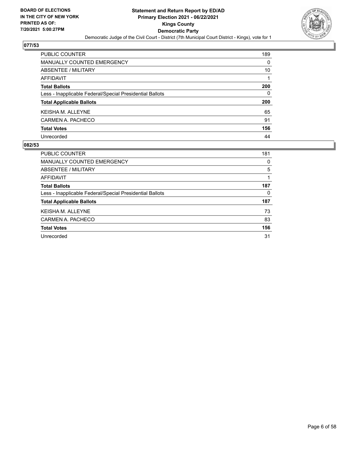

| PUBLIC COUNTER                                           | 189 |
|----------------------------------------------------------|-----|
| <b>MANUALLY COUNTED EMERGENCY</b>                        | 0   |
| ABSENTEE / MILITARY                                      | 10  |
| <b>AFFIDAVIT</b>                                         |     |
| <b>Total Ballots</b>                                     | 200 |
| Less - Inapplicable Federal/Special Presidential Ballots | 0   |
| <b>Total Applicable Ballots</b>                          | 200 |
| <b>KEISHAM, ALLEYNE</b>                                  | 65  |
| CARMEN A. PACHECO                                        | 91  |
| <b>Total Votes</b>                                       | 156 |
| Unrecorded                                               | 44  |

| <b>PUBLIC COUNTER</b>                                    | 181 |
|----------------------------------------------------------|-----|
| MANUALLY COUNTED EMERGENCY                               | 0   |
| ABSENTEE / MILITARY                                      | 5   |
| AFFIDAVIT                                                |     |
| <b>Total Ballots</b>                                     | 187 |
| Less - Inapplicable Federal/Special Presidential Ballots | 0   |
| <b>Total Applicable Ballots</b>                          | 187 |
| <b>KEISHA M. ALLEYNE</b>                                 | 73  |
| CARMEN A. PACHECO                                        | 83  |
| <b>Total Votes</b>                                       | 156 |
| Unrecorded                                               | 31  |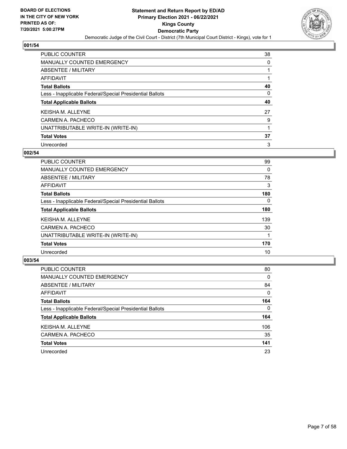

| PUBLIC COUNTER                                           | 38 |
|----------------------------------------------------------|----|
| MANUALLY COUNTED EMERGENCY                               | 0  |
| ABSENTEE / MILITARY                                      |    |
| AFFIDAVIT                                                |    |
| <b>Total Ballots</b>                                     | 40 |
| Less - Inapplicable Federal/Special Presidential Ballots | 0  |
| <b>Total Applicable Ballots</b>                          | 40 |
| <b>KEISHA M. ALLEYNE</b>                                 | 27 |
| CARMEN A. PACHECO                                        | 9  |
| UNATTRIBUTABLE WRITE-IN (WRITE-IN)                       |    |
| <b>Total Votes</b>                                       | 37 |
| Unrecorded                                               | 3  |

#### **002/54**

| <b>PUBLIC COUNTER</b>                                    | 99       |
|----------------------------------------------------------|----------|
| <b>MANUALLY COUNTED EMERGENCY</b>                        | $\Omega$ |
| ABSENTEE / MILITARY                                      | 78       |
| <b>AFFIDAVIT</b>                                         | 3        |
| <b>Total Ballots</b>                                     | 180      |
| Less - Inapplicable Federal/Special Presidential Ballots | $\Omega$ |
| <b>Total Applicable Ballots</b>                          | 180      |
| <b>KEISHA M. ALLEYNE</b>                                 | 139      |
| CARMEN A. PACHECO                                        | 30       |
| UNATTRIBUTABLE WRITE-IN (WRITE-IN)                       |          |
| <b>Total Votes</b>                                       | 170      |
| Unrecorded                                               | 10       |

| PUBLIC COUNTER                                           | 80       |
|----------------------------------------------------------|----------|
| <b>MANUALLY COUNTED EMERGENCY</b>                        | $\Omega$ |
| ABSENTEE / MILITARY                                      | 84       |
| AFFIDAVIT                                                | $\Omega$ |
| <b>Total Ballots</b>                                     | 164      |
| Less - Inapplicable Federal/Special Presidential Ballots | $\Omega$ |
| <b>Total Applicable Ballots</b>                          | 164      |
| <b>KEISHA M. ALLEYNE</b>                                 | 106      |
| CARMEN A. PACHECO                                        | 35       |
| <b>Total Votes</b>                                       | 141      |
| Unrecorded                                               | 23       |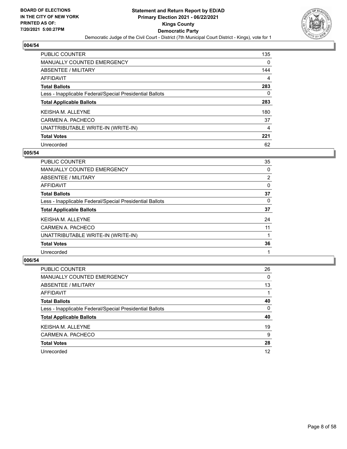

| PUBLIC COUNTER                                           | 135      |
|----------------------------------------------------------|----------|
| <b>MANUALLY COUNTED EMERGENCY</b>                        | $\Omega$ |
| ABSENTEE / MILITARY                                      | 144      |
| AFFIDAVIT                                                | 4        |
| <b>Total Ballots</b>                                     | 283      |
| Less - Inapplicable Federal/Special Presidential Ballots | 0        |
| <b>Total Applicable Ballots</b>                          | 283      |
| <b>KEISHA M. ALLEYNE</b>                                 | 180      |
| CARMEN A. PACHECO                                        | 37       |
| UNATTRIBUTABLE WRITE-IN (WRITE-IN)                       | 4        |
| <b>Total Votes</b>                                       | 221      |
| Unrecorded                                               | 62       |

#### **005/54**

| <b>PUBLIC COUNTER</b>                                    | 35             |
|----------------------------------------------------------|----------------|
| MANUALLY COUNTED EMERGENCY                               | 0              |
| ABSENTEE / MILITARY                                      | $\overline{2}$ |
| <b>AFFIDAVIT</b>                                         | 0              |
| <b>Total Ballots</b>                                     | 37             |
| Less - Inapplicable Federal/Special Presidential Ballots | 0              |
| <b>Total Applicable Ballots</b>                          | 37             |
| <b>KEISHA M. ALLEYNE</b>                                 | 24             |
| CARMEN A. PACHECO                                        | 11             |
| UNATTRIBUTABLE WRITE-IN (WRITE-IN)                       |                |
| <b>Total Votes</b>                                       | 36             |
| Unrecorded                                               |                |

| PUBLIC COUNTER                                           | 26 |
|----------------------------------------------------------|----|
| <b>MANUALLY COUNTED EMERGENCY</b>                        | 0  |
| ABSENTEE / MILITARY                                      | 13 |
| AFFIDAVIT                                                |    |
| <b>Total Ballots</b>                                     | 40 |
| Less - Inapplicable Federal/Special Presidential Ballots | 0  |
| <b>Total Applicable Ballots</b>                          | 40 |
| KEISHA M. ALLEYNE                                        | 19 |
| CARMEN A. PACHECO                                        | 9  |
| <b>Total Votes</b>                                       | 28 |
| Unrecorded                                               | 12 |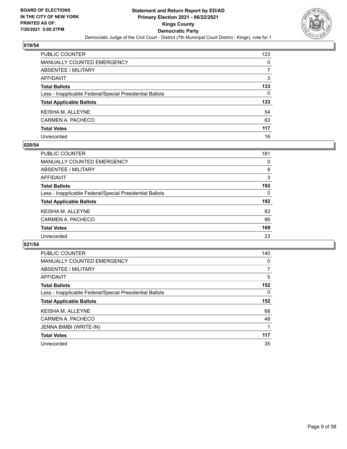

| PUBLIC COUNTER                                           | 123 |
|----------------------------------------------------------|-----|
| <b>MANUALLY COUNTED EMERGENCY</b>                        | 0   |
| <b>ABSENTEE / MILITARY</b>                               | 7   |
| <b>AFFIDAVIT</b>                                         | 3   |
| <b>Total Ballots</b>                                     | 133 |
| Less - Inapplicable Federal/Special Presidential Ballots | 0   |
| <b>Total Applicable Ballots</b>                          | 133 |
| <b>KEISHA M. ALLEYNE</b>                                 | 54  |
| CARMEN A. PACHECO                                        | 63  |
| <b>Total Votes</b>                                       | 117 |
| Unrecorded                                               | 16  |

#### **020/54**

| <b>PUBLIC COUNTER</b>                                    | 181 |
|----------------------------------------------------------|-----|
| <b>MANUALLY COUNTED EMERGENCY</b>                        | 0   |
| ABSENTEE / MILITARY                                      | 8   |
| AFFIDAVIT                                                | 3   |
| <b>Total Ballots</b>                                     | 192 |
| Less - Inapplicable Federal/Special Presidential Ballots | 0   |
| <b>Total Applicable Ballots</b>                          | 192 |
| <b>KEISHA M. ALLEYNE</b>                                 | 83  |
| CARMEN A. PACHECO                                        | 86  |
| <b>Total Votes</b>                                       | 169 |
| Unrecorded                                               | 23  |

| <b>PUBLIC COUNTER</b>                                    | 140      |
|----------------------------------------------------------|----------|
| <b>MANUALLY COUNTED EMERGENCY</b>                        | 0        |
| ABSENTEE / MILITARY                                      | 7        |
| <b>AFFIDAVIT</b>                                         | 5        |
| <b>Total Ballots</b>                                     | 152      |
| Less - Inapplicable Federal/Special Presidential Ballots | $\Omega$ |
| <b>Total Applicable Ballots</b>                          | 152      |
| <b>KEISHAM, ALLEYNE</b>                                  | 68       |
| CARMEN A. PACHECO                                        | 48       |
|                                                          |          |
| JENNA BIMBI (WRITE-IN)                                   |          |
| <b>Total Votes</b>                                       | 117      |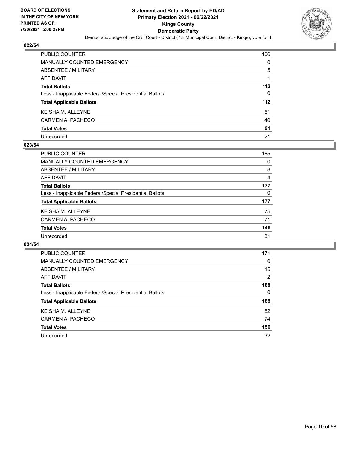

| PUBLIC COUNTER                                           | 106 |
|----------------------------------------------------------|-----|
| <b>MANUALLY COUNTED EMERGENCY</b>                        | 0   |
| ABSENTEE / MILITARY                                      | 5   |
| <b>AFFIDAVIT</b>                                         |     |
| <b>Total Ballots</b>                                     | 112 |
| Less - Inapplicable Federal/Special Presidential Ballots | 0   |
| <b>Total Applicable Ballots</b>                          | 112 |
| KEISHA M. ALLEYNE                                        | 51  |
| CARMEN A. PACHECO                                        | 40  |
| <b>Total Votes</b>                                       | 91  |
| Unrecorded                                               | 21  |

#### **023/54**

| <b>PUBLIC COUNTER</b>                                    | 165      |
|----------------------------------------------------------|----------|
| MANUALLY COUNTED EMERGENCY                               | 0        |
| ABSENTEE / MILITARY                                      | 8        |
| AFFIDAVIT                                                | 4        |
| <b>Total Ballots</b>                                     | 177      |
| Less - Inapplicable Federal/Special Presidential Ballots | $\Omega$ |
| <b>Total Applicable Ballots</b>                          | 177      |
| <b>KEISHA M. ALLEYNE</b>                                 | 75       |
| CARMEN A. PACHECO                                        | 71       |
| <b>Total Votes</b>                                       | 146      |
| Unrecorded                                               | 31       |

| <b>PUBLIC COUNTER</b>                                    | 171 |
|----------------------------------------------------------|-----|
| <b>MANUALLY COUNTED EMERGENCY</b>                        | 0   |
| ABSENTEE / MILITARY                                      | 15  |
| <b>AFFIDAVIT</b>                                         | 2   |
| <b>Total Ballots</b>                                     | 188 |
| Less - Inapplicable Federal/Special Presidential Ballots | 0   |
| <b>Total Applicable Ballots</b>                          | 188 |
| <b>KEISHAM, ALLEYNE</b>                                  | 82  |
| CARMEN A. PACHECO                                        | 74  |
| <b>Total Votes</b>                                       | 156 |
| Unrecorded                                               | 32  |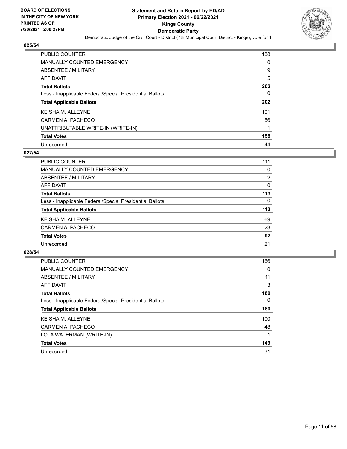

| PUBLIC COUNTER                                           | 188 |
|----------------------------------------------------------|-----|
| <b>MANUALLY COUNTED EMERGENCY</b>                        | 0   |
| ABSENTEE / MILITARY                                      | 9   |
| AFFIDAVIT                                                | 5   |
| <b>Total Ballots</b>                                     | 202 |
| Less - Inapplicable Federal/Special Presidential Ballots | 0   |
| <b>Total Applicable Ballots</b>                          | 202 |
| <b>KEISHA M. ALLEYNE</b>                                 | 101 |
| CARMEN A. PACHECO                                        | 56  |
| UNATTRIBUTABLE WRITE-IN (WRITE-IN)                       |     |
| <b>Total Votes</b>                                       | 158 |
| Unrecorded                                               | 44  |

#### **027/54**

| <b>PUBLIC COUNTER</b>                                    | 111      |
|----------------------------------------------------------|----------|
| MANUALLY COUNTED EMERGENCY                               | 0        |
| ABSENTEE / MILITARY                                      | 2        |
| AFFIDAVIT                                                | 0        |
| <b>Total Ballots</b>                                     | 113      |
| Less - Inapplicable Federal/Special Presidential Ballots | $\Omega$ |
| <b>Total Applicable Ballots</b>                          | 113      |
| <b>KEISHA M. ALLEYNE</b>                                 | 69       |
| CARMEN A. PACHECO                                        | 23       |
| <b>Total Votes</b>                                       | 92       |
| Unrecorded                                               | 21       |

| PUBLIC COUNTER                                           | 166      |
|----------------------------------------------------------|----------|
| <b>MANUALLY COUNTED EMERGENCY</b>                        | 0        |
| ABSENTEE / MILITARY                                      | 11       |
| AFFIDAVIT                                                | 3        |
| <b>Total Ballots</b>                                     | 180      |
| Less - Inapplicable Federal/Special Presidential Ballots | $\Omega$ |
| <b>Total Applicable Ballots</b>                          | 180      |
| <b>KEISHA M. ALLEYNE</b>                                 | 100      |
| CARMEN A. PACHECO                                        | 48       |
| LOLA WATERMAN (WRITE-IN)                                 |          |
| <b>Total Votes</b>                                       | 149      |
| Unrecorded                                               | 31       |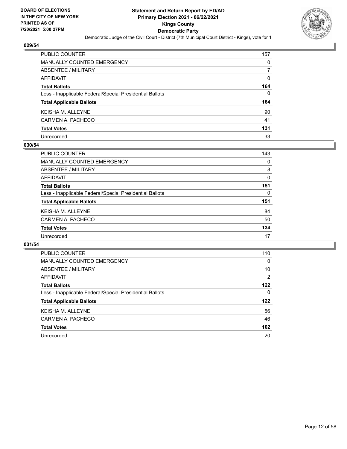

| PUBLIC COUNTER                                           | 157 |
|----------------------------------------------------------|-----|
| <b>MANUALLY COUNTED EMERGENCY</b>                        | 0   |
| ABSENTEE / MILITARY                                      | 7   |
| AFFIDAVIT                                                | 0   |
| <b>Total Ballots</b>                                     | 164 |
| Less - Inapplicable Federal/Special Presidential Ballots | 0   |
| <b>Total Applicable Ballots</b>                          | 164 |
| KEISHA M. ALLEYNE                                        | 90  |
| CARMEN A. PACHECO                                        | 41  |
| <b>Total Votes</b>                                       | 131 |
| Unrecorded                                               | 33  |

#### **030/54**

| <b>PUBLIC COUNTER</b>                                    | 143      |
|----------------------------------------------------------|----------|
| MANUALLY COUNTED EMERGENCY                               | $\Omega$ |
| ABSENTEE / MILITARY                                      | 8        |
| AFFIDAVIT                                                | 0        |
| <b>Total Ballots</b>                                     | 151      |
| Less - Inapplicable Federal/Special Presidential Ballots | $\Omega$ |
| <b>Total Applicable Ballots</b>                          | 151      |
| <b>KEISHA M. ALLEYNE</b>                                 | 84       |
| CARMEN A. PACHECO                                        | 50       |
| <b>Total Votes</b>                                       | 134      |
| Unrecorded                                               | 17       |

| <b>PUBLIC COUNTER</b>                                    | 110              |
|----------------------------------------------------------|------------------|
| MANUALLY COUNTED EMERGENCY                               | $\Omega$         |
| ABSENTEE / MILITARY                                      | 10               |
| AFFIDAVIT                                                | 2                |
| <b>Total Ballots</b>                                     | 122              |
| Less - Inapplicable Federal/Special Presidential Ballots | 0                |
| <b>Total Applicable Ballots</b>                          | 122              |
| <b>KEISHA M. ALLEYNE</b>                                 | 56               |
| CARMEN A. PACHECO                                        | 46               |
| <b>Total Votes</b>                                       | 102 <sub>2</sub> |
| Unrecorded                                               | 20               |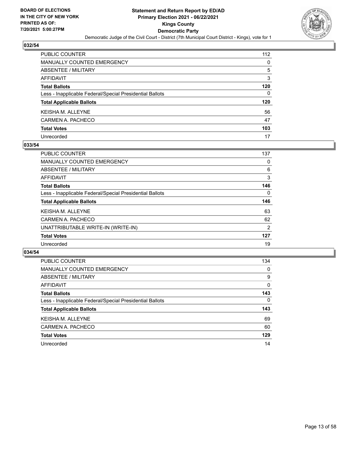

| PUBLIC COUNTER                                           | 112 |
|----------------------------------------------------------|-----|
| <b>MANUALLY COUNTED EMERGENCY</b>                        | 0   |
| ABSENTEE / MILITARY                                      | 5   |
| AFFIDAVIT                                                | 3   |
| <b>Total Ballots</b>                                     | 120 |
| Less - Inapplicable Federal/Special Presidential Ballots | 0   |
| <b>Total Applicable Ballots</b>                          | 120 |
| KEISHA M. ALLEYNE                                        | 56  |
| CARMEN A. PACHECO                                        | 47  |
| <b>Total Votes</b>                                       | 103 |
| Unrecorded                                               | 17  |

#### **033/54**

| <b>PUBLIC COUNTER</b>                                    | 137            |
|----------------------------------------------------------|----------------|
| <b>MANUALLY COUNTED EMERGENCY</b>                        | 0              |
| ABSENTEE / MILITARY                                      | 6              |
| AFFIDAVIT                                                | 3              |
| <b>Total Ballots</b>                                     | 146            |
| Less - Inapplicable Federal/Special Presidential Ballots | 0              |
| <b>Total Applicable Ballots</b>                          | 146            |
| <b>KEISHA M. ALLEYNE</b>                                 | 63             |
| CARMEN A. PACHECO                                        | 62             |
| UNATTRIBUTABLE WRITE-IN (WRITE-IN)                       | $\overline{2}$ |
| <b>Total Votes</b>                                       | 127            |
| Unrecorded                                               | 19             |

| <b>PUBLIC COUNTER</b>                                    | 134      |
|----------------------------------------------------------|----------|
| <b>MANUALLY COUNTED EMERGENCY</b>                        | $\Omega$ |
| ABSENTEE / MILITARY                                      | 9        |
| AFFIDAVIT                                                | $\Omega$ |
| <b>Total Ballots</b>                                     | 143      |
| Less - Inapplicable Federal/Special Presidential Ballots | $\Omega$ |
| <b>Total Applicable Ballots</b>                          | 143      |
| <b>KEISHA M. ALLEYNE</b>                                 | 69       |
| CARMEN A. PACHECO                                        | 60       |
| <b>Total Votes</b>                                       | 129      |
| Unrecorded                                               | 14       |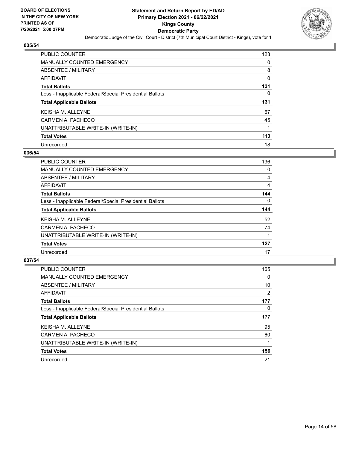

| PUBLIC COUNTER                                           | 123 |
|----------------------------------------------------------|-----|
| <b>MANUALLY COUNTED EMERGENCY</b>                        | 0   |
| <b>ABSENTEE / MILITARY</b>                               | 8   |
| AFFIDAVIT                                                | 0   |
| <b>Total Ballots</b>                                     | 131 |
| Less - Inapplicable Federal/Special Presidential Ballots | 0   |
| <b>Total Applicable Ballots</b>                          | 131 |
|                                                          |     |
| <b>KEISHA M. ALLEYNE</b>                                 | 67  |
| CARMEN A. PACHECO                                        | 45  |
| UNATTRIBUTABLE WRITE-IN (WRITE-IN)                       |     |
| <b>Total Votes</b>                                       | 113 |

#### **036/54**

| <b>PUBLIC COUNTER</b>                                    | 136      |
|----------------------------------------------------------|----------|
| <b>MANUALLY COUNTED EMERGENCY</b>                        | 0        |
| ABSENTEE / MILITARY                                      | 4        |
| <b>AFFIDAVIT</b>                                         | 4        |
| <b>Total Ballots</b>                                     | 144      |
| Less - Inapplicable Federal/Special Presidential Ballots | $\Omega$ |
| <b>Total Applicable Ballots</b>                          | 144      |
| KEISHA M. ALLEYNE                                        | 52       |
| CARMEN A. PACHECO                                        | 74       |
| UNATTRIBUTABLE WRITE-IN (WRITE-IN)                       |          |
| <b>Total Votes</b>                                       | 127      |
| Unrecorded                                               | 17       |

| <b>PUBLIC COUNTER</b>                                    | 165      |
|----------------------------------------------------------|----------|
| <b>MANUALLY COUNTED EMERGENCY</b>                        | 0        |
| ABSENTEE / MILITARY                                      | 10       |
| <b>AFFIDAVIT</b>                                         | 2        |
| <b>Total Ballots</b>                                     | 177      |
| Less - Inapplicable Federal/Special Presidential Ballots | $\Omega$ |
| <b>Total Applicable Ballots</b>                          | 177      |
| <b>KEISHA M. ALLEYNE</b>                                 | 95       |
| CARMEN A. PACHECO                                        | 60       |
| UNATTRIBUTABLE WRITE-IN (WRITE-IN)                       |          |
| <b>Total Votes</b>                                       | 156      |
| Unrecorded                                               | 21       |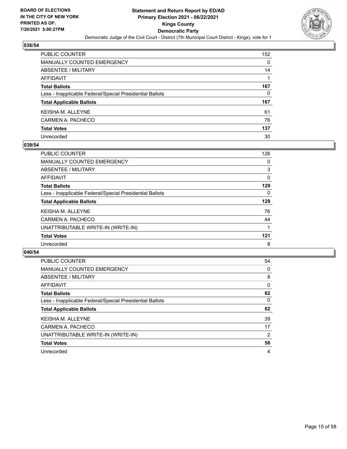

| PUBLIC COUNTER                                           | 152 |
|----------------------------------------------------------|-----|
| <b>MANUALLY COUNTED EMERGENCY</b>                        | 0   |
| <b>ABSENTEE / MILITARY</b>                               | 14  |
| <b>AFFIDAVIT</b>                                         |     |
| <b>Total Ballots</b>                                     | 167 |
| Less - Inapplicable Federal/Special Presidential Ballots | 0   |
| <b>Total Applicable Ballots</b>                          | 167 |
| <b>KEISHA M. ALLEYNE</b>                                 | 61  |
| CARMEN A. PACHECO                                        | 76  |
| <b>Total Votes</b>                                       | 137 |
| Unrecorded                                               | 30  |

#### **039/54**

| <b>PUBLIC COUNTER</b>                                    | 126 |
|----------------------------------------------------------|-----|
| <b>MANUALLY COUNTED EMERGENCY</b>                        | 0   |
| ABSENTEE / MILITARY                                      | 3   |
| AFFIDAVIT                                                | 0   |
| <b>Total Ballots</b>                                     | 129 |
| Less - Inapplicable Federal/Special Presidential Ballots | 0   |
| <b>Total Applicable Ballots</b>                          | 129 |
| <b>KEISHA M. ALLEYNE</b>                                 | 76  |
| CARMEN A. PACHECO                                        | 44  |
| UNATTRIBUTABLE WRITE-IN (WRITE-IN)                       |     |
| <b>Total Votes</b>                                       | 121 |
| Unrecorded                                               | 8   |
|                                                          |     |

| PUBLIC COUNTER                                           | 54             |
|----------------------------------------------------------|----------------|
| <b>MANUALLY COUNTED EMERGENCY</b>                        | 0              |
| ABSENTEE / MILITARY                                      | 8              |
| <b>AFFIDAVIT</b>                                         | 0              |
| <b>Total Ballots</b>                                     | 62             |
| Less - Inapplicable Federal/Special Presidential Ballots | 0              |
| <b>Total Applicable Ballots</b>                          | 62             |
| <b>KEISHA M. ALLEYNE</b>                                 | 39             |
| CARMEN A. PACHECO                                        | 17             |
| UNATTRIBUTABLE WRITE-IN (WRITE-IN)                       | $\overline{2}$ |
| <b>Total Votes</b>                                       | 58             |
| Unrecorded                                               | 4              |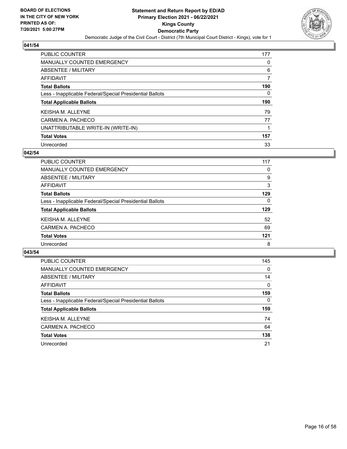

| PUBLIC COUNTER                                           | 177 |
|----------------------------------------------------------|-----|
| <b>MANUALLY COUNTED EMERGENCY</b>                        | 0   |
| ABSENTEE / MILITARY                                      | 6   |
| AFFIDAVIT                                                | 7   |
| <b>Total Ballots</b>                                     | 190 |
| Less - Inapplicable Federal/Special Presidential Ballots | 0   |
|                                                          | 190 |
| <b>Total Applicable Ballots</b>                          |     |
| <b>KEISHA M. ALLEYNE</b>                                 | 79  |
| CARMEN A. PACHECO                                        | 77  |
| UNATTRIBUTABLE WRITE-IN (WRITE-IN)                       |     |
| <b>Total Votes</b>                                       | 157 |

#### **042/54**

| <b>PUBLIC COUNTER</b>                                    | 117      |
|----------------------------------------------------------|----------|
| MANUALLY COUNTED EMERGENCY                               | 0        |
| ABSENTEE / MILITARY                                      | 9        |
| AFFIDAVIT                                                | 3        |
| <b>Total Ballots</b>                                     | 129      |
| Less - Inapplicable Federal/Special Presidential Ballots | $\Omega$ |
| <b>Total Applicable Ballots</b>                          | 129      |
| <b>KEISHA M. ALLEYNE</b>                                 | 52       |
| CARMEN A. PACHECO                                        | 69       |
| <b>Total Votes</b>                                       | 121      |
| Unrecorded                                               | 8        |

| <b>PUBLIC COUNTER</b>                                    | 145      |
|----------------------------------------------------------|----------|
| MANUALLY COUNTED EMERGENCY                               | $\Omega$ |
| ABSENTEE / MILITARY                                      | 14       |
| AFFIDAVIT                                                | $\Omega$ |
| <b>Total Ballots</b>                                     | 159      |
| Less - Inapplicable Federal/Special Presidential Ballots | $\Omega$ |
| <b>Total Applicable Ballots</b>                          | 159      |
| <b>KEISHA M. ALLEYNE</b>                                 | 74       |
| CARMEN A. PACHECO                                        | 64       |
| <b>Total Votes</b>                                       | 138      |
| Unrecorded                                               | 21       |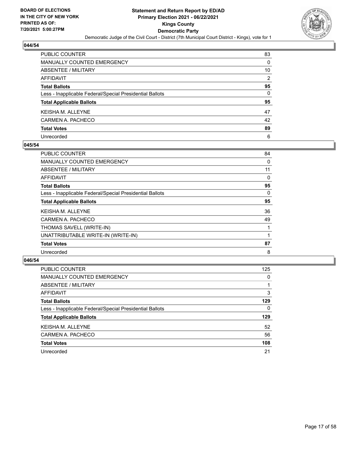

| PUBLIC COUNTER                                           | 83             |
|----------------------------------------------------------|----------------|
| MANUALLY COUNTED EMERGENCY                               | 0              |
| ABSENTEE / MILITARY                                      | 10             |
| AFFIDAVIT                                                | $\overline{2}$ |
| Total Ballots                                            | 95             |
| Less - Inapplicable Federal/Special Presidential Ballots | 0              |
| <b>Total Applicable Ballots</b>                          | 95             |
| KEISHA M. ALLEYNE                                        | 47             |
| CARMEN A. PACHECO                                        | 42             |
| <b>Total Votes</b>                                       | 89             |
| Unrecorded                                               | 6              |

#### **045/54**

| <b>PUBLIC COUNTER</b>                                    | 84 |
|----------------------------------------------------------|----|
| MANUALLY COUNTED EMERGENCY                               | 0  |
| ABSENTEE / MILITARY                                      | 11 |
| AFFIDAVIT                                                | 0  |
| <b>Total Ballots</b>                                     | 95 |
| Less - Inapplicable Federal/Special Presidential Ballots | 0  |
| <b>Total Applicable Ballots</b>                          | 95 |
| <b>KEISHA M. ALLEYNE</b>                                 | 36 |
| CARMEN A. PACHECO                                        | 49 |
| THOMAS SAVELL (WRITE-IN)                                 |    |
| UNATTRIBUTABLE WRITE-IN (WRITE-IN)                       |    |
| <b>Total Votes</b>                                       | 87 |
| Unrecorded                                               | 8  |

| <b>PUBLIC COUNTER</b>                                    | 125      |
|----------------------------------------------------------|----------|
| MANUALLY COUNTED EMERGENCY                               | $\Omega$ |
| ABSENTEE / MILITARY                                      |          |
| AFFIDAVIT                                                | 3        |
| <b>Total Ballots</b>                                     | 129      |
| Less - Inapplicable Federal/Special Presidential Ballots | $\Omega$ |
| <b>Total Applicable Ballots</b>                          | 129      |
| <b>KEISHA M. ALLEYNE</b>                                 | 52       |
| CARMEN A. PACHECO                                        | 56       |
| <b>Total Votes</b>                                       | 108      |
| Unrecorded                                               | 21       |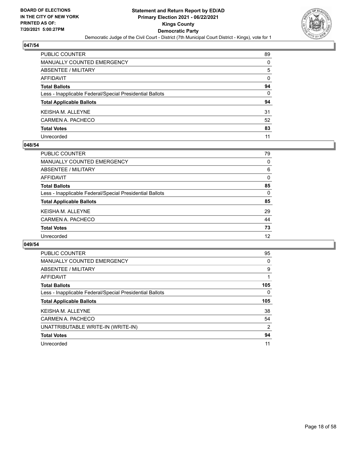

| PUBLIC COUNTER                                           | 89 |
|----------------------------------------------------------|----|
| <b>MANUALLY COUNTED EMERGENCY</b>                        | 0  |
| ABSENTEE / MILITARY                                      | 5  |
| <b>AFFIDAVIT</b>                                         | 0  |
| <b>Total Ballots</b>                                     | 94 |
| Less - Inapplicable Federal/Special Presidential Ballots | 0  |
| <b>Total Applicable Ballots</b>                          | 94 |
| KEISHA M. ALLEYNE                                        | 31 |
| CARMEN A. PACHECO                                        | 52 |
| <b>Total Votes</b>                                       | 83 |
| Unrecorded                                               | 11 |

#### **048/54**

| PUBLIC COUNTER                                           | 79       |
|----------------------------------------------------------|----------|
| <b>MANUALLY COUNTED EMERGENCY</b>                        | 0        |
| ABSENTEE / MILITARY                                      | 6        |
| AFFIDAVIT                                                | $\Omega$ |
| <b>Total Ballots</b>                                     | 85       |
| Less - Inapplicable Federal/Special Presidential Ballots | 0        |
| <b>Total Applicable Ballots</b>                          | 85       |
| <b>KEISHA M. ALLEYNE</b>                                 | 29       |
| CARMEN A. PACHECO                                        | 44       |
| <b>Total Votes</b>                                       | 73       |
| Unrecorded                                               | 12       |

| PUBLIC COUNTER                                           | 95       |
|----------------------------------------------------------|----------|
| <b>MANUALLY COUNTED EMERGENCY</b>                        | 0        |
| ABSENTEE / MILITARY                                      | 9        |
| <b>AFFIDAVIT</b>                                         |          |
| <b>Total Ballots</b>                                     | 105      |
| Less - Inapplicable Federal/Special Presidential Ballots | $\Omega$ |
| <b>Total Applicable Ballots</b>                          | 105      |
| <b>KEISHAM, ALLEYNE</b>                                  | 38       |
|                                                          |          |
| CARMEN A. PACHECO                                        | 54       |
| UNATTRIBUTABLE WRITE-IN (WRITE-IN)                       | 2        |
| <b>Total Votes</b>                                       | 94       |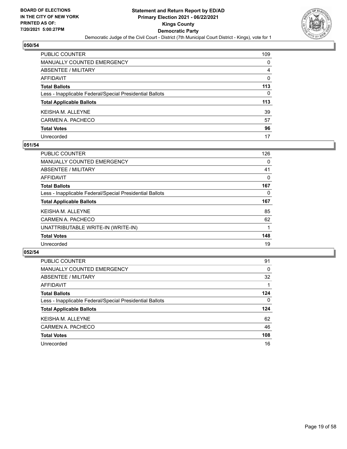

| PUBLIC COUNTER                                           | 109 |
|----------------------------------------------------------|-----|
| <b>MANUALLY COUNTED EMERGENCY</b>                        | 0   |
| ABSENTEE / MILITARY                                      | 4   |
| AFFIDAVIT                                                | 0   |
| <b>Total Ballots</b>                                     | 113 |
| Less - Inapplicable Federal/Special Presidential Ballots | 0   |
| <b>Total Applicable Ballots</b>                          | 113 |
| KEISHA M. ALLEYNE                                        | 39  |
| CARMEN A. PACHECO                                        | 57  |
| <b>Total Votes</b>                                       | 96  |
| Unrecorded                                               | 17  |

#### **051/54**

| PUBLIC COUNTER                                           | 126 |
|----------------------------------------------------------|-----|
| <b>MANUALLY COUNTED EMERGENCY</b>                        | 0   |
| ABSENTEE / MILITARY                                      | 41  |
| AFFIDAVIT                                                | 0   |
| <b>Total Ballots</b>                                     | 167 |
| Less - Inapplicable Federal/Special Presidential Ballots | 0   |
| <b>Total Applicable Ballots</b>                          | 167 |
| <b>KEISHA M. ALLEYNE</b>                                 | 85  |
| CARMEN A. PACHECO                                        | 62  |
| UNATTRIBUTABLE WRITE-IN (WRITE-IN)                       |     |
| <b>Total Votes</b>                                       | 148 |
| Unrecorded                                               | 19  |

| PUBLIC COUNTER                                           | 91       |
|----------------------------------------------------------|----------|
| <b>MANUALLY COUNTED EMERGENCY</b>                        | 0        |
| ABSENTEE / MILITARY                                      | 32       |
| AFFIDAVIT                                                |          |
| <b>Total Ballots</b>                                     | 124      |
| Less - Inapplicable Federal/Special Presidential Ballots | $\Omega$ |
| <b>Total Applicable Ballots</b>                          | 124      |
| <b>KEISHA M. ALLEYNE</b>                                 | 62       |
| CARMEN A. PACHECO                                        | 46       |
| <b>Total Votes</b>                                       | 108      |
| Unrecorded                                               | 16       |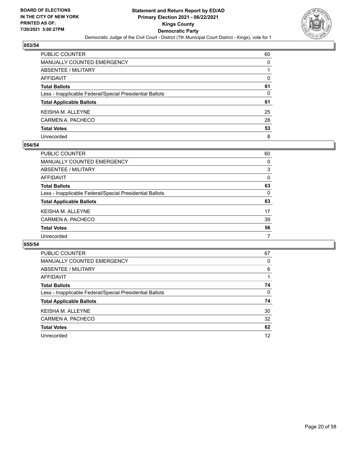

| PUBLIC COUNTER                                           | 60 |
|----------------------------------------------------------|----|
| <b>MANUALLY COUNTED EMERGENCY</b>                        | 0  |
| ABSENTEE / MILITARY                                      |    |
| AFFIDAVIT                                                | 0  |
| <b>Total Ballots</b>                                     | 61 |
| Less - Inapplicable Federal/Special Presidential Ballots | 0  |
| <b>Total Applicable Ballots</b>                          | 61 |
| KEISHA M. ALLEYNE                                        | 25 |
| CARMEN A. PACHECO                                        | 28 |
| <b>Total Votes</b>                                       | 53 |
| Unrecorded                                               | 8  |

#### **054/54**

| <b>PUBLIC COUNTER</b>                                    | 60       |
|----------------------------------------------------------|----------|
| <b>MANUALLY COUNTED EMERGENCY</b>                        | 0        |
| ABSENTEE / MILITARY                                      | 3        |
| AFFIDAVIT                                                | $\Omega$ |
| <b>Total Ballots</b>                                     | 63       |
| Less - Inapplicable Federal/Special Presidential Ballots | 0        |
| <b>Total Applicable Ballots</b>                          | 63       |
| KEISHA M. ALLEYNE                                        | 17       |
| CARMEN A. PACHECO                                        | 39       |
| <b>Total Votes</b>                                       | 56       |
| Unrecorded                                               | 7        |

| <b>PUBLIC COUNTER</b>                                    | 67       |
|----------------------------------------------------------|----------|
| <b>MANUALLY COUNTED EMERGENCY</b>                        | 0        |
| ABSENTEE / MILITARY                                      | 6        |
| AFFIDAVIT                                                |          |
| <b>Total Ballots</b>                                     | 74       |
| Less - Inapplicable Federal/Special Presidential Ballots | $\Omega$ |
| <b>Total Applicable Ballots</b>                          | 74       |
| <b>KEISHAM, ALLEYNE</b>                                  | 30       |
| CARMEN A. PACHECO                                        | 32       |
| <b>Total Votes</b>                                       | 62       |
| Unrecorded                                               | 12       |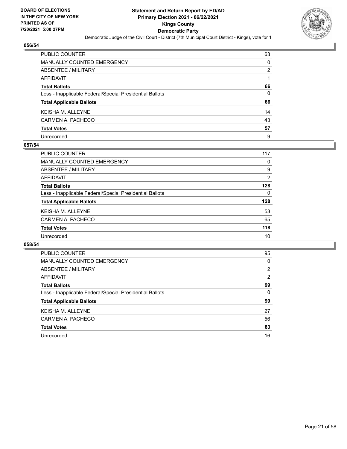

| PUBLIC COUNTER                                           | 63 |
|----------------------------------------------------------|----|
| MANUALLY COUNTED EMERGENCY                               | 0  |
| ABSENTEE / MILITARY                                      | 2  |
| AFFIDAVIT                                                |    |
| <b>Total Ballots</b>                                     | 66 |
| Less - Inapplicable Federal/Special Presidential Ballots | 0  |
| <b>Total Applicable Ballots</b>                          | 66 |
| KEISHA M. ALLEYNE                                        | 14 |
| CARMEN A. PACHECO                                        | 43 |
| <b>Total Votes</b>                                       | 57 |
| Unrecorded                                               | 9  |

#### **057/54**

| PUBLIC COUNTER                                           | 117      |
|----------------------------------------------------------|----------|
| <b>MANUALLY COUNTED EMERGENCY</b>                        | 0        |
| ABSENTEE / MILITARY                                      | 9        |
| AFFIDAVIT                                                | 2        |
| <b>Total Ballots</b>                                     | 128      |
| Less - Inapplicable Federal/Special Presidential Ballots | $\Omega$ |
| <b>Total Applicable Ballots</b>                          | 128      |
| <b>KEISHA M. ALLEYNE</b>                                 | 53       |
| CARMEN A. PACHECO                                        | 65       |
| <b>Total Votes</b>                                       | 118      |
| Unrecorded                                               | 10       |

| <b>PUBLIC COUNTER</b>                                    | 95             |
|----------------------------------------------------------|----------------|
| <b>MANUALLY COUNTED EMERGENCY</b>                        | 0              |
| ABSENTEE / MILITARY                                      | $\overline{2}$ |
| AFFIDAVIT                                                | $\overline{2}$ |
| <b>Total Ballots</b>                                     | 99             |
| Less - Inapplicable Federal/Special Presidential Ballots | $\Omega$       |
| <b>Total Applicable Ballots</b>                          | 99             |
| <b>KEISHA M. ALLEYNE</b>                                 | 27             |
| CARMEN A. PACHECO                                        | 56             |
| <b>Total Votes</b>                                       | 83             |
| Unrecorded                                               | 16             |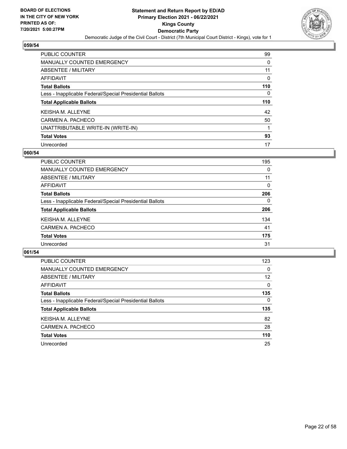

| PUBLIC COUNTER                                           | 99  |
|----------------------------------------------------------|-----|
| <b>MANUALLY COUNTED EMERGENCY</b>                        | 0   |
| ABSENTEE / MILITARY                                      | 11  |
| AFFIDAVIT                                                | 0   |
| <b>Total Ballots</b>                                     | 110 |
| Less - Inapplicable Federal/Special Presidential Ballots | 0   |
| <b>Total Applicable Ballots</b>                          | 110 |
| <b>KEISHA M. ALLEYNE</b>                                 | 42  |
| CARMEN A. PACHECO                                        | 50  |
| UNATTRIBUTABLE WRITE-IN (WRITE-IN)                       |     |
| <b>Total Votes</b>                                       | 93  |
| Unrecorded                                               | 17  |

#### **060/54**

| <b>PUBLIC COUNTER</b>                                    | 195      |
|----------------------------------------------------------|----------|
| <b>MANUALLY COUNTED EMERGENCY</b>                        | 0        |
| ABSENTEE / MILITARY                                      | 11       |
| <b>AFFIDAVIT</b>                                         | $\Omega$ |
| <b>Total Ballots</b>                                     | 206      |
| Less - Inapplicable Federal/Special Presidential Ballots | $\Omega$ |
| <b>Total Applicable Ballots</b>                          | 206      |
| <b>KEISHAM, ALLEYNE</b>                                  | 134      |
| CARMEN A. PACHECO                                        | 41       |
| <b>Total Votes</b>                                       | 175      |
| Unrecorded                                               | 31       |

| <b>PUBLIC COUNTER</b>                                    | 123      |
|----------------------------------------------------------|----------|
| MANUALLY COUNTED EMERGENCY                               | $\Omega$ |
| ABSENTEE / MILITARY                                      | 12       |
| AFFIDAVIT                                                | $\Omega$ |
| <b>Total Ballots</b>                                     | 135      |
| Less - Inapplicable Federal/Special Presidential Ballots | $\Omega$ |
| <b>Total Applicable Ballots</b>                          | 135      |
| <b>KEISHA M. ALLEYNE</b>                                 | 82       |
| CARMEN A. PACHECO                                        | 28       |
| <b>Total Votes</b>                                       | 110      |
| Unrecorded                                               | 25       |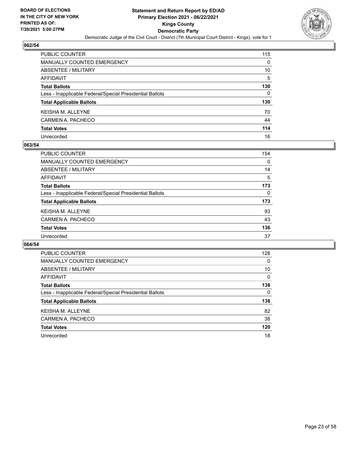

| PUBLIC COUNTER                                           | 115      |
|----------------------------------------------------------|----------|
| <b>MANUALLY COUNTED EMERGENCY</b>                        | $\Omega$ |
| <b>ABSENTEE / MILITARY</b>                               | 10       |
| <b>AFFIDAVIT</b>                                         | 5        |
| <b>Total Ballots</b>                                     | 130      |
| Less - Inapplicable Federal/Special Presidential Ballots | 0        |
| <b>Total Applicable Ballots</b>                          | 130      |
| <b>KEISHA M. ALLEYNE</b>                                 | 70       |
| CARMEN A. PACHECO                                        | 44       |
| <b>Total Votes</b>                                       | 114      |
| Unrecorded                                               | 16       |

#### **063/54**

| <b>PUBLIC COUNTER</b>                                    | 154      |
|----------------------------------------------------------|----------|
| <b>MANUALLY COUNTED EMERGENCY</b>                        | $\Omega$ |
| ABSENTEE / MILITARY                                      | 14       |
| AFFIDAVIT                                                | 5        |
| <b>Total Ballots</b>                                     | 173      |
| Less - Inapplicable Federal/Special Presidential Ballots | $\Omega$ |
| <b>Total Applicable Ballots</b>                          | 173      |
| <b>KEISHA M. ALLEYNE</b>                                 | 93       |
| CARMEN A. PACHECO                                        | 43       |
| <b>Total Votes</b>                                       | 136      |
| Unrecorded                                               | 37       |
|                                                          |          |

| <b>PUBLIC COUNTER</b>                                    | 128      |
|----------------------------------------------------------|----------|
| <b>MANUALLY COUNTED EMERGENCY</b>                        | 0        |
| ABSENTEE / MILITARY                                      | 10       |
| AFFIDAVIT                                                | $\Omega$ |
| <b>Total Ballots</b>                                     | 138      |
| Less - Inapplicable Federal/Special Presidential Ballots | 0        |
| <b>Total Applicable Ballots</b>                          | 138      |
| <b>KEISHAM, ALLEYNE</b>                                  | 82       |
| CARMEN A. PACHECO                                        | 38       |
| <b>Total Votes</b>                                       | 120      |
| Unrecorded                                               | 18       |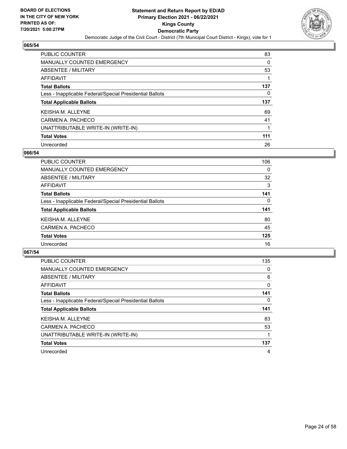

| PUBLIC COUNTER                                           | 83  |
|----------------------------------------------------------|-----|
| <b>MANUALLY COUNTED EMERGENCY</b>                        | 0   |
| ABSENTEE / MILITARY                                      | 53  |
| AFFIDAVIT                                                |     |
| <b>Total Ballots</b>                                     | 137 |
| Less - Inapplicable Federal/Special Presidential Ballots | 0   |
|                                                          |     |
| <b>Total Applicable Ballots</b>                          | 137 |
| <b>KEISHA M. ALLEYNE</b>                                 | 69  |
| CARMEN A. PACHECO                                        | 41  |
| UNATTRIBUTABLE WRITE-IN (WRITE-IN)                       |     |
| <b>Total Votes</b>                                       | 111 |

#### **066/54**

| <b>PUBLIC COUNTER</b>                                    | 106      |
|----------------------------------------------------------|----------|
| <b>MANUALLY COUNTED EMERGENCY</b>                        | $\Omega$ |
| ABSENTEE / MILITARY                                      | 32       |
| <b>AFFIDAVIT</b>                                         | 3        |
| <b>Total Ballots</b>                                     | 141      |
| Less - Inapplicable Federal/Special Presidential Ballots | $\Omega$ |
| <b>Total Applicable Ballots</b>                          | 141      |
| <b>KEISHAM, ALLEYNE</b>                                  | 80       |
| CARMEN A. PACHECO                                        | 45       |
| <b>Total Votes</b>                                       | 125      |
| Unrecorded                                               | 16       |

| <b>PUBLIC COUNTER</b>                                    | 135      |
|----------------------------------------------------------|----------|
| <b>MANUALLY COUNTED EMERGENCY</b>                        | 0        |
| ABSENTEE / MILITARY                                      | 6        |
| AFFIDAVIT                                                | 0        |
| <b>Total Ballots</b>                                     | 141      |
| Less - Inapplicable Federal/Special Presidential Ballots | $\Omega$ |
| <b>Total Applicable Ballots</b>                          | 141      |
| <b>KEISHA M. ALLEYNE</b>                                 | 83       |
| CARMEN A. PACHECO                                        | 53       |
| UNATTRIBUTABLE WRITE-IN (WRITE-IN)                       |          |
| <b>Total Votes</b>                                       | 137      |
| Unrecorded                                               | 4        |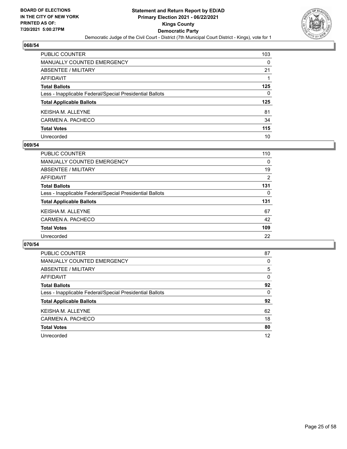

| PUBLIC COUNTER                                           | 103 |
|----------------------------------------------------------|-----|
| <b>MANUALLY COUNTED EMERGENCY</b>                        | 0   |
| ABSENTEE / MILITARY                                      | 21  |
| <b>AFFIDAVIT</b>                                         |     |
| <b>Total Ballots</b>                                     | 125 |
| Less - Inapplicable Federal/Special Presidential Ballots | 0   |
| <b>Total Applicable Ballots</b>                          | 125 |
| KEISHA M. ALLEYNE                                        | 81  |
| CARMEN A. PACHECO                                        | 34  |
| <b>Total Votes</b>                                       | 115 |
| Unrecorded                                               | 10  |

#### **069/54**

| <b>PUBLIC COUNTER</b>                                    | 110      |
|----------------------------------------------------------|----------|
| MANUALLY COUNTED EMERGENCY                               | $\Omega$ |
| ABSENTEE / MILITARY                                      | 19       |
| AFFIDAVIT                                                | 2        |
| <b>Total Ballots</b>                                     | 131      |
| Less - Inapplicable Federal/Special Presidential Ballots | $\Omega$ |
| <b>Total Applicable Ballots</b>                          | 131      |
| <b>KEISHA M. ALLEYNE</b>                                 | 67       |
| CARMEN A. PACHECO                                        | 42       |
| <b>Total Votes</b>                                       | 109      |
| Unrecorded                                               | 22       |

| <b>PUBLIC COUNTER</b>                                    | 87 |
|----------------------------------------------------------|----|
| MANUALLY COUNTED EMERGENCY                               | 0  |
| ABSENTEE / MILITARY                                      | 5  |
| AFFIDAVIT                                                | 0  |
| <b>Total Ballots</b>                                     | 92 |
| Less - Inapplicable Federal/Special Presidential Ballots | 0  |
| <b>Total Applicable Ballots</b>                          | 92 |
| <b>KEISHA M. ALLEYNE</b>                                 | 62 |
| CARMEN A. PACHECO                                        | 18 |
| <b>Total Votes</b>                                       | 80 |
| Unrecorded                                               | 12 |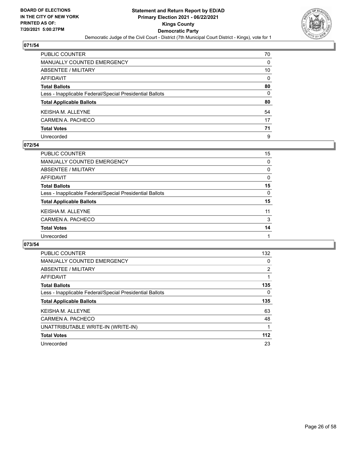

| PUBLIC COUNTER                                           | 70       |
|----------------------------------------------------------|----------|
| MANUALLY COUNTED EMERGENCY                               | 0        |
| ABSENTEE / MILITARY                                      | 10       |
| AFFIDAVIT                                                | $\Omega$ |
| <b>Total Ballots</b>                                     | 80       |
| Less - Inapplicable Federal/Special Presidential Ballots | $\Omega$ |
| <b>Total Applicable Ballots</b>                          | 80       |
| KEISHA M. ALLEYNE                                        | 54       |
| CARMEN A. PACHECO                                        | 17       |
| <b>Total Votes</b>                                       | 71       |
| Unrecorded                                               | 9        |

#### **072/54**

| <b>PUBLIC COUNTER</b>                                    | 15       |
|----------------------------------------------------------|----------|
| <b>MANUALLY COUNTED EMERGENCY</b>                        | $\Omega$ |
| ABSENTEE / MILITARY                                      | $\Omega$ |
| AFFIDAVIT                                                | 0        |
| <b>Total Ballots</b>                                     | 15       |
| Less - Inapplicable Federal/Special Presidential Ballots | $\Omega$ |
| <b>Total Applicable Ballots</b>                          | 15       |
| <b>KEISHA M. ALLEYNE</b>                                 | 11       |
| CARMEN A. PACHECO                                        | 3        |
| <b>Total Votes</b>                                       | 14       |
| Unrecorded                                               |          |

| <b>PUBLIC COUNTER</b>                                    | 132            |
|----------------------------------------------------------|----------------|
| <b>MANUALLY COUNTED EMERGENCY</b>                        | 0              |
| ABSENTEE / MILITARY                                      | $\overline{2}$ |
| <b>AFFIDAVIT</b>                                         |                |
| <b>Total Ballots</b>                                     | 135            |
| Less - Inapplicable Federal/Special Presidential Ballots | 0              |
| <b>Total Applicable Ballots</b>                          | 135            |
| <b>KEISHAM, ALLEYNE</b>                                  | 63             |
| CARMEN A. PACHECO                                        | 48             |
| UNATTRIBUTABLE WRITE-IN (WRITE-IN)                       | 1              |
| <b>Total Votes</b>                                       | 112            |
| Unrecorded                                               | 23             |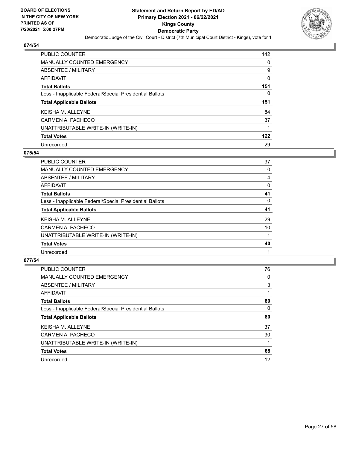

| <b>PUBLIC COUNTER</b>                                    | 142 |
|----------------------------------------------------------|-----|
| <b>MANUALLY COUNTED EMERGENCY</b>                        | 0   |
| ABSENTEE / MILITARY                                      | 9   |
| AFFIDAVIT                                                | 0   |
| <b>Total Ballots</b>                                     | 151 |
| Less - Inapplicable Federal/Special Presidential Ballots | 0   |
| <b>Total Applicable Ballots</b>                          | 151 |
|                                                          |     |
| <b>KEISHA M. ALLEYNE</b>                                 | 84  |
| CARMEN A. PACHECO                                        | 37  |
| UNATTRIBUTABLE WRITE-IN (WRITE-IN)                       |     |
| <b>Total Votes</b>                                       | 122 |

#### **075/54**

| <b>PUBLIC COUNTER</b>                                    | 37 |
|----------------------------------------------------------|----|
| <b>MANUALLY COUNTED EMERGENCY</b>                        | 0  |
| ABSENTEE / MILITARY                                      | 4  |
| <b>AFFIDAVIT</b>                                         | 0  |
| <b>Total Ballots</b>                                     | 41 |
| Less - Inapplicable Federal/Special Presidential Ballots | 0  |
| <b>Total Applicable Ballots</b>                          | 41 |
| <b>KEISHA M. ALLEYNE</b>                                 | 29 |
| CARMEN A. PACHECO                                        | 10 |
| UNATTRIBUTABLE WRITE-IN (WRITE-IN)                       |    |
| <b>Total Votes</b>                                       | 40 |
| Unrecorded                                               |    |

| PUBLIC COUNTER                                           | 76       |
|----------------------------------------------------------|----------|
| <b>MANUALLY COUNTED EMERGENCY</b>                        | 0        |
| ABSENTEE / MILITARY                                      | 3        |
| AFFIDAVIT                                                |          |
| <b>Total Ballots</b>                                     | 80       |
| Less - Inapplicable Federal/Special Presidential Ballots | $\Omega$ |
| <b>Total Applicable Ballots</b>                          | 80       |
| <b>KEISHAM. ALLEYNE</b>                                  | 37       |
| CARMEN A. PACHECO                                        | 30       |
| UNATTRIBUTABLE WRITE-IN (WRITE-IN)                       |          |
| <b>Total Votes</b>                                       | 68       |
| Unrecorded                                               | 12       |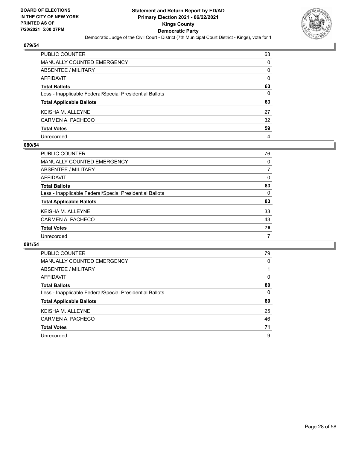

| PUBLIC COUNTER                                           | 63 |
|----------------------------------------------------------|----|
| MANUALLY COUNTED EMERGENCY                               | 0  |
| ABSENTEE / MILITARY                                      | 0  |
| AFFIDAVIT                                                | 0  |
| <b>Total Ballots</b>                                     | 63 |
| Less - Inapplicable Federal/Special Presidential Ballots | 0  |
| <b>Total Applicable Ballots</b>                          | 63 |
| KEISHA M. ALLEYNE                                        | 27 |
| CARMEN A. PACHECO                                        | 32 |
| <b>Total Votes</b>                                       | 59 |
| Unrecorded                                               | 4  |

#### **080/54**

| PUBLIC COUNTER                                           | 76       |
|----------------------------------------------------------|----------|
| <b>MANUALLY COUNTED EMERGENCY</b>                        | $\Omega$ |
| ABSENTEE / MILITARY                                      |          |
| AFFIDAVIT                                                | $\Omega$ |
| <b>Total Ballots</b>                                     | 83       |
| Less - Inapplicable Federal/Special Presidential Ballots | $\Omega$ |
| <b>Total Applicable Ballots</b>                          | 83       |
| <b>KEISHA M. ALLEYNE</b>                                 | 33       |
| CARMEN A. PACHECO                                        | 43       |
| <b>Total Votes</b>                                       | 76       |
| Unrecorded                                               | 7        |

| <b>PUBLIC COUNTER</b>                                    | 79       |
|----------------------------------------------------------|----------|
| MANUALLY COUNTED EMERGENCY                               | 0        |
| ABSENTEE / MILITARY                                      |          |
| AFFIDAVIT                                                | 0        |
| <b>Total Ballots</b>                                     | 80       |
| Less - Inapplicable Federal/Special Presidential Ballots | $\Omega$ |
| <b>Total Applicable Ballots</b>                          | 80       |
| <b>KEISHA M. ALLEYNE</b>                                 | 25       |
| CARMEN A. PACHECO                                        | 46       |
| <b>Total Votes</b>                                       | 71       |
| Unrecorded                                               | 9        |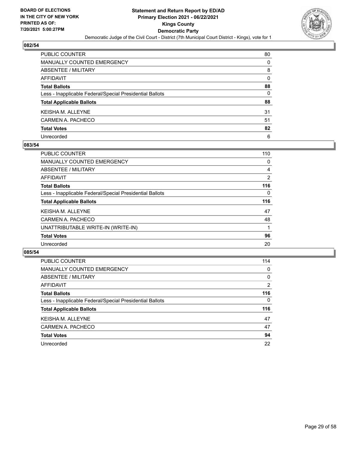

| PUBLIC COUNTER                                           | 80       |
|----------------------------------------------------------|----------|
| <b>MANUALLY COUNTED EMERGENCY</b>                        | 0        |
| ABSENTEE / MILITARY                                      | 8        |
| AFFIDAVIT                                                | $\Omega$ |
| <b>Total Ballots</b>                                     | 88       |
| Less - Inapplicable Federal/Special Presidential Ballots | 0        |
| <b>Total Applicable Ballots</b>                          | 88       |
| KEISHA M. ALLEYNE                                        | 31       |
| CARMEN A. PACHECO                                        | 51       |
| <b>Total Votes</b>                                       | 82       |
| Unrecorded                                               | 6        |

#### **083/54**

| PUBLIC COUNTER                                           | 110            |
|----------------------------------------------------------|----------------|
| <b>MANUALLY COUNTED EMERGENCY</b>                        | 0              |
| ABSENTEE / MILITARY                                      | 4              |
| AFFIDAVIT                                                | $\overline{2}$ |
| <b>Total Ballots</b>                                     | 116            |
| Less - Inapplicable Federal/Special Presidential Ballots | $\Omega$       |
| <b>Total Applicable Ballots</b>                          | 116            |
| <b>KEISHAM, ALLEYNE</b>                                  | 47             |
| CARMEN A. PACHECO                                        | 48             |
| UNATTRIBUTABLE WRITE-IN (WRITE-IN)                       |                |
| <b>Total Votes</b>                                       | 96             |
| Unrecorded                                               | 20             |

| PUBLIC COUNTER                                           | 114      |
|----------------------------------------------------------|----------|
| <b>MANUALLY COUNTED EMERGENCY</b>                        | 0        |
| ABSENTEE / MILITARY                                      | $\Omega$ |
| AFFIDAVIT                                                | 2        |
| <b>Total Ballots</b>                                     | 116      |
| Less - Inapplicable Federal/Special Presidential Ballots | $\Omega$ |
| <b>Total Applicable Ballots</b>                          | 116      |
| <b>KEISHA M. ALLEYNE</b>                                 | 47       |
| CARMEN A. PACHECO                                        | 47       |
| <b>Total Votes</b>                                       | 94       |
|                                                          |          |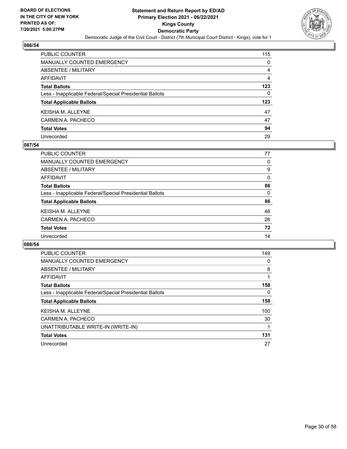

| PUBLIC COUNTER                                           | 115            |
|----------------------------------------------------------|----------------|
| <b>MANUALLY COUNTED EMERGENCY</b>                        | 0              |
| ABSENTEE / MILITARY                                      | 4              |
| <b>AFFIDAVIT</b>                                         | $\overline{4}$ |
| <b>Total Ballots</b>                                     | 123            |
| Less - Inapplicable Federal/Special Presidential Ballots | $\Omega$       |
| <b>Total Applicable Ballots</b>                          | 123            |
| KEISHA M. ALLEYNE                                        | 47             |
| CARMEN A. PACHECO                                        | 47             |
| <b>Total Votes</b>                                       | 94             |
| Unrecorded                                               | 29             |

#### **087/54**

| <b>PUBLIC COUNTER</b>                                    | 77       |
|----------------------------------------------------------|----------|
| MANUALLY COUNTED EMERGENCY                               | 0        |
| ABSENTEE / MILITARY                                      | 9        |
| AFFIDAVIT                                                | $\Omega$ |
| <b>Total Ballots</b>                                     | 86       |
| Less - Inapplicable Federal/Special Presidential Ballots | $\Omega$ |
| <b>Total Applicable Ballots</b>                          | 86       |
| <b>KEISHA M. ALLEYNE</b>                                 | 46       |
| CARMEN A. PACHECO                                        | 26       |
| <b>Total Votes</b>                                       | 72       |
| Unrecorded                                               | 14       |
|                                                          |          |

| <b>PUBLIC COUNTER</b>                                    | 149 |
|----------------------------------------------------------|-----|
| <b>MANUALLY COUNTED EMERGENCY</b>                        | 0   |
| ABSENTEE / MILITARY                                      | 8   |
| AFFIDAVIT                                                |     |
| <b>Total Ballots</b>                                     | 158 |
| Less - Inapplicable Federal/Special Presidential Ballots | 0   |
| <b>Total Applicable Ballots</b>                          | 158 |
| <b>KEISHA M. ALLEYNE</b>                                 | 100 |
| CARMEN A. PACHECO                                        | 30  |
| UNATTRIBUTABLE WRITE-IN (WRITE-IN)                       |     |
| <b>Total Votes</b>                                       | 131 |
| Unrecorded                                               | 27  |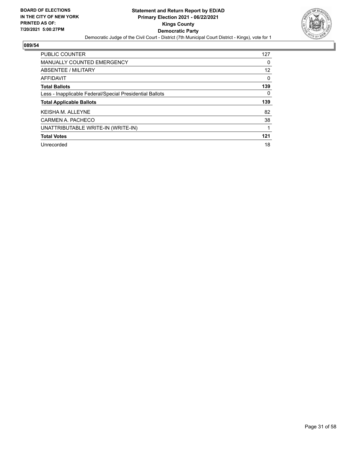

| <b>PUBLIC COUNTER</b>                                    | 127 |
|----------------------------------------------------------|-----|
| <b>MANUALLY COUNTED EMERGENCY</b>                        | 0   |
| ABSENTEE / MILITARY                                      | 12  |
| AFFIDAVIT                                                | 0   |
| <b>Total Ballots</b>                                     | 139 |
| Less - Inapplicable Federal/Special Presidential Ballots | 0   |
|                                                          |     |
| <b>Total Applicable Ballots</b>                          | 139 |
| <b>KEISHAM, ALLEYNE</b>                                  | 82  |
| CARMEN A. PACHECO                                        | 38  |
| UNATTRIBUTABLE WRITE-IN (WRITE-IN)                       |     |
| <b>Total Votes</b>                                       | 121 |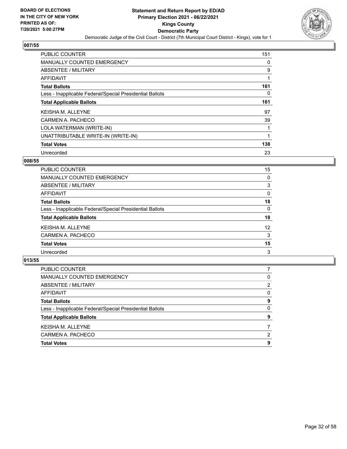

| <b>PUBLIC COUNTER</b>                                    | 151 |
|----------------------------------------------------------|-----|
| MANUALLY COUNTED EMERGENCY                               | 0   |
| ABSENTEE / MILITARY                                      | 9   |
| AFFIDAVIT                                                |     |
| <b>Total Ballots</b>                                     | 161 |
| Less - Inapplicable Federal/Special Presidential Ballots | 0   |
| <b>Total Applicable Ballots</b>                          | 161 |
| <b>KEISHA M. ALLEYNE</b>                                 | 97  |
| CARMEN A. PACHECO                                        | 39  |
| LOLA WATERMAN (WRITE-IN)                                 |     |
| UNATTRIBUTABLE WRITE-IN (WRITE-IN)                       |     |
| <b>Total Votes</b>                                       | 138 |
| Unrecorded                                               | 23  |

#### **008/55**

| PUBLIC COUNTER                                           | 15       |
|----------------------------------------------------------|----------|
| <b>MANUALLY COUNTED EMERGENCY</b>                        | $\Omega$ |
| ABSENTEE / MILITARY                                      | 3        |
| AFFIDAVIT                                                | $\Omega$ |
| <b>Total Ballots</b>                                     | 18       |
| Less - Inapplicable Federal/Special Presidential Ballots | $\Omega$ |
| <b>Total Applicable Ballots</b>                          | 18       |
| <b>KEISHA M. ALLEYNE</b>                                 | 12       |
| CARMEN A. PACHECO                                        | 3        |
| <b>Total Votes</b>                                       | 15       |
| Unrecorded                                               | 3        |

| PUBLIC COUNTER                                           |          |
|----------------------------------------------------------|----------|
| MANUALLY COUNTED EMERGENCY                               | 0        |
| ABSENTEE / MILITARY                                      | 2        |
| AFFIDAVIT                                                | $\Omega$ |
| <b>Total Ballots</b>                                     | 9        |
| Less - Inapplicable Federal/Special Presidential Ballots | $\Omega$ |
| <b>Total Applicable Ballots</b>                          | 9        |
| <b>KEISHA M. ALLEYNE</b>                                 |          |
| CARMEN A. PACHECO                                        | 2        |
| <b>Total Votes</b>                                       | 9        |
|                                                          |          |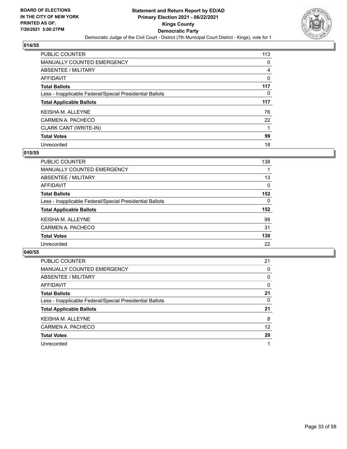

| PUBLIC COUNTER                                           | 113      |
|----------------------------------------------------------|----------|
| MANUALLY COUNTED EMERGENCY                               | 0        |
| ABSENTEE / MILITARY                                      | 4        |
| AFFIDAVIT                                                | 0        |
| <b>Total Ballots</b>                                     | 117      |
| Less - Inapplicable Federal/Special Presidential Ballots | $\Omega$ |
| <b>Total Applicable Ballots</b>                          | 117      |
| <b>KEISHA M. ALLEYNE</b>                                 | 76       |
| CARMEN A. PACHECO                                        | 22       |
| CLARK CANT (WRITE-IN)                                    |          |
| <b>Total Votes</b>                                       | 99       |
|                                                          |          |

#### **015/55**

| <b>PUBLIC COUNTER</b>                                    | 138      |
|----------------------------------------------------------|----------|
| <b>MANUALLY COUNTED EMERGENCY</b>                        |          |
| <b>ABSENTEE / MILITARY</b>                               | 13       |
| AFFIDAVIT                                                | $\Omega$ |
| <b>Total Ballots</b>                                     | 152      |
| Less - Inapplicable Federal/Special Presidential Ballots | 0        |
| <b>Total Applicable Ballots</b>                          | 152      |
| <b>KEISHAM, ALLEYNE</b>                                  | 99       |
| CARMEN A. PACHECO                                        | 31       |
| <b>Total Votes</b>                                       | 130      |
| Unrecorded                                               | 22       |

| <b>PUBLIC COUNTER</b>                                    | 21       |
|----------------------------------------------------------|----------|
| <b>MANUALLY COUNTED EMERGENCY</b>                        | 0        |
| ABSENTEE / MILITARY                                      | $\Omega$ |
| AFFIDAVIT                                                | $\Omega$ |
| <b>Total Ballots</b>                                     | 21       |
| Less - Inapplicable Federal/Special Presidential Ballots | 0        |
| <b>Total Applicable Ballots</b>                          | 21       |
| KEISHA M. ALLEYNE                                        | 8        |
| CARMEN A. PACHECO                                        | 12       |
| <b>Total Votes</b>                                       | 20       |
| Unrecorded                                               |          |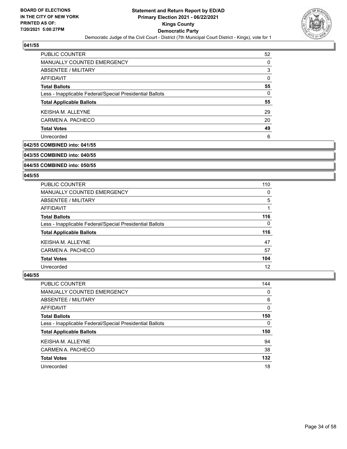

| PUBLIC COUNTER                                           | 52 |
|----------------------------------------------------------|----|
| <b>MANUALLY COUNTED EMERGENCY</b>                        | 0  |
| ABSENTEE / MILITARY                                      | 3  |
| AFFIDAVIT                                                | 0  |
| <b>Total Ballots</b>                                     | 55 |
| Less - Inapplicable Federal/Special Presidential Ballots | 0  |
| <b>Total Applicable Ballots</b>                          | 55 |
| <b>KEISHA M. ALLEYNE</b>                                 | 29 |
| CARMEN A. PACHECO                                        | 20 |
| <b>Total Votes</b>                                       | 49 |
| Unrecorded                                               | 6  |

## **042/55 COMBINED into: 041/55**

#### **043/55 COMBINED into: 040/55**

#### **044/55 COMBINED into: 050/55**

#### **045/55**

| <b>PUBLIC COUNTER</b>                                    | 110 |
|----------------------------------------------------------|-----|
| MANUALLY COUNTED EMERGENCY                               | 0   |
| ABSENTEE / MILITARY                                      | 5   |
| AFFIDAVIT                                                |     |
| <b>Total Ballots</b>                                     | 116 |
| Less - Inapplicable Federal/Special Presidential Ballots | 0   |
| <b>Total Applicable Ballots</b>                          | 116 |
| <b>KEISHA M. ALLEYNE</b>                                 | 47  |
| CARMEN A. PACHECO                                        | 57  |
| <b>Total Votes</b>                                       | 104 |
| Unrecorded                                               | 12  |

| PUBLIC COUNTER                                           | 144 |
|----------------------------------------------------------|-----|
| MANUALLY COUNTED EMERGENCY                               | 0   |
| ABSENTEE / MILITARY                                      | 6   |
| AFFIDAVIT                                                | 0   |
| <b>Total Ballots</b>                                     | 150 |
| Less - Inapplicable Federal/Special Presidential Ballots | 0   |
| <b>Total Applicable Ballots</b>                          | 150 |
| <b>KEISHA M. ALLEYNE</b>                                 | 94  |
| CARMEN A. PACHECO                                        | 38  |
| <b>Total Votes</b>                                       | 132 |
| Unrecorded                                               | 18  |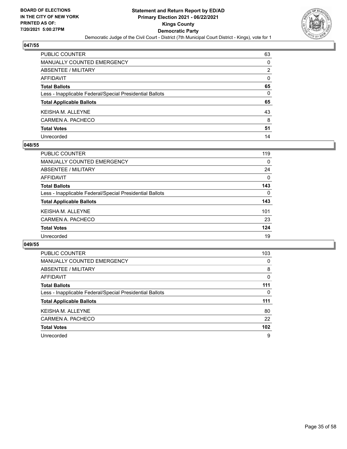

| PUBLIC COUNTER                                           | 63 |
|----------------------------------------------------------|----|
| <b>MANUALLY COUNTED EMERGENCY</b>                        | 0  |
| ABSENTEE / MILITARY                                      | 2  |
| <b>AFFIDAVIT</b>                                         | 0  |
| <b>Total Ballots</b>                                     | 65 |
| Less - Inapplicable Federal/Special Presidential Ballots | 0  |
| <b>Total Applicable Ballots</b>                          | 65 |
| KEISHA M. ALLEYNE                                        | 43 |
| CARMEN A. PACHECO                                        | 8  |
| <b>Total Votes</b>                                       | 51 |
| Unrecorded                                               | 14 |

#### **048/55**

| <b>PUBLIC COUNTER</b>                                    | 119      |
|----------------------------------------------------------|----------|
| <b>MANUALLY COUNTED EMERGENCY</b>                        | $\Omega$ |
| ABSENTEE / MILITARY                                      | 24       |
| AFFIDAVIT                                                | $\Omega$ |
| <b>Total Ballots</b>                                     | 143      |
| Less - Inapplicable Federal/Special Presidential Ballots | $\Omega$ |
| <b>Total Applicable Ballots</b>                          | 143      |
| <b>KEISHA M. ALLEYNE</b>                                 | 101      |
| CARMEN A. PACHECO                                        | 23       |
| <b>Total Votes</b>                                       | 124      |
| Unrecorded                                               | 19       |

| PUBLIC COUNTER                                           | 103      |
|----------------------------------------------------------|----------|
| <b>MANUALLY COUNTED EMERGENCY</b>                        | 0        |
| ABSENTEE / MILITARY                                      | 8        |
| <b>AFFIDAVIT</b>                                         | $\Omega$ |
| <b>Total Ballots</b>                                     | 111      |
| Less - Inapplicable Federal/Special Presidential Ballots | 0        |
| <b>Total Applicable Ballots</b>                          | 111      |
| <b>KEISHAM, ALLEYNE</b>                                  | 80       |
| CARMEN A. PACHECO                                        | 22       |
|                                                          |          |
| <b>Total Votes</b>                                       | 102      |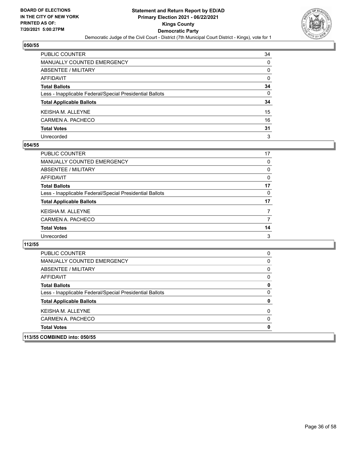

| PUBLIC COUNTER                                           | 34 |
|----------------------------------------------------------|----|
| <b>MANUALLY COUNTED EMERGENCY</b>                        | 0  |
| <b>ABSENTEE / MILITARY</b>                               | 0  |
| <b>AFFIDAVIT</b>                                         | 0  |
| <b>Total Ballots</b>                                     | 34 |
| Less - Inapplicable Federal/Special Presidential Ballots | 0  |
| <b>Total Applicable Ballots</b>                          | 34 |
| <b>KEISHAM, ALLEYNE</b>                                  | 15 |
| CARMEN A. PACHECO                                        | 16 |
| <b>Total Votes</b>                                       | 31 |
| Unrecorded                                               | 3  |

#### **054/55**

| PUBLIC COUNTER                                           | 17 |
|----------------------------------------------------------|----|
| <b>MANUALLY COUNTED EMERGENCY</b>                        | 0  |
| ABSENTEE / MILITARY                                      | 0  |
| AFFIDAVIT                                                | 0  |
| <b>Total Ballots</b>                                     | 17 |
| Less - Inapplicable Federal/Special Presidential Ballots | 0  |
| <b>Total Applicable Ballots</b>                          | 17 |
| <b>KEISHA M. ALLEYNE</b>                                 |    |
| CARMEN A. PACHECO                                        | 7  |
| <b>Total Votes</b>                                       | 14 |
| Unrecorded                                               | 3  |

| PUBLIC COUNTER                                           | O        |
|----------------------------------------------------------|----------|
| MANUALLY COUNTED EMERGENCY                               | 0        |
| ABSENTEE / MILITARY                                      | $\Omega$ |
| AFFIDAVIT                                                | 0        |
| <b>Total Ballots</b>                                     | 0        |
| Less - Inapplicable Federal/Special Presidential Ballots | 0        |
| <b>Total Applicable Ballots</b>                          | O        |
| <b>KEISHA M. ALLEYNE</b>                                 | O        |
| CARMEN A. PACHECO                                        | 0        |
| <b>Total Votes</b>                                       | O        |
| 113/55 COMBINED into: 050/55                             |          |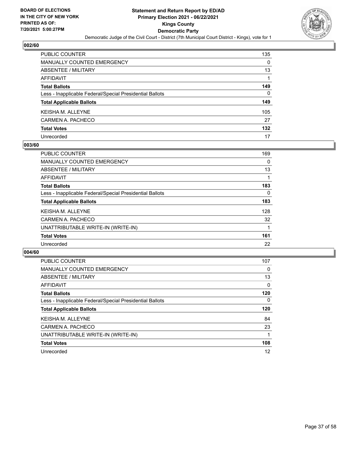

| PUBLIC COUNTER                                           | 135 |
|----------------------------------------------------------|-----|
| <b>MANUALLY COUNTED EMERGENCY</b>                        | 0   |
| ABSENTEE / MILITARY                                      | 13  |
| AFFIDAVIT                                                |     |
| <b>Total Ballots</b>                                     | 149 |
| Less - Inapplicable Federal/Special Presidential Ballots | 0   |
| <b>Total Applicable Ballots</b>                          | 149 |
| KEISHA M. ALLEYNE                                        | 105 |
| CARMEN A. PACHECO                                        | 27  |
| <b>Total Votes</b>                                       | 132 |
| Unrecorded                                               | 17  |

#### **003/60**

| PUBLIC COUNTER                                           | 169      |
|----------------------------------------------------------|----------|
| <b>MANUALLY COUNTED EMERGENCY</b>                        | $\Omega$ |
| ABSENTEE / MILITARY                                      | 13       |
| <b>AFFIDAVIT</b>                                         |          |
| <b>Total Ballots</b>                                     | 183      |
| Less - Inapplicable Federal/Special Presidential Ballots | 0        |
| <b>Total Applicable Ballots</b>                          | 183      |
| <b>KEISHAM, ALLEYNE</b>                                  | 128      |
| CARMEN A. PACHECO                                        | 32       |
| UNATTRIBUTABLE WRITE-IN (WRITE-IN)                       |          |
| <b>Total Votes</b>                                       | 161      |
| Unrecorded                                               | 22       |

| <b>PUBLIC COUNTER</b>                                    | 107 |
|----------------------------------------------------------|-----|
| <b>MANUALLY COUNTED EMERGENCY</b>                        | 0   |
| ABSENTEE / MILITARY                                      | 13  |
| AFFIDAVIT                                                | 0   |
| <b>Total Ballots</b>                                     | 120 |
| Less - Inapplicable Federal/Special Presidential Ballots | 0   |
| <b>Total Applicable Ballots</b>                          | 120 |
| <b>KEISHA M. ALLEYNE</b>                                 | 84  |
| CARMEN A. PACHECO                                        | 23  |
| UNATTRIBUTABLE WRITE-IN (WRITE-IN)                       |     |
| <b>Total Votes</b>                                       | 108 |
| Unrecorded                                               | 12  |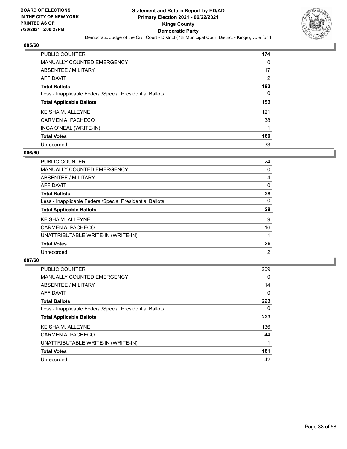

| PUBLIC COUNTER                                           | 174 |
|----------------------------------------------------------|-----|
| <b>MANUALLY COUNTED EMERGENCY</b>                        | 0   |
| ABSENTEE / MILITARY                                      | 17  |
| AFFIDAVIT                                                | 2   |
| <b>Total Ballots</b>                                     | 193 |
| Less - Inapplicable Federal/Special Presidential Ballots | 0   |
| <b>Total Applicable Ballots</b>                          | 193 |
| <b>KEISHA M. ALLEYNE</b>                                 | 121 |
| CARMEN A. PACHECO                                        | 38  |
| INGA O'NEAL (WRITE-IN)                                   |     |
| <b>Total Votes</b>                                       | 160 |
| Unrecorded                                               | 33  |

#### **006/60**

| <b>PUBLIC COUNTER</b>                                    | 24             |
|----------------------------------------------------------|----------------|
| <b>MANUALLY COUNTED EMERGENCY</b>                        | $\Omega$       |
| ABSENTEE / MILITARY                                      | 4              |
| <b>AFFIDAVIT</b>                                         | 0              |
| <b>Total Ballots</b>                                     | 28             |
| Less - Inapplicable Federal/Special Presidential Ballots | $\Omega$       |
| <b>Total Applicable Ballots</b>                          | 28             |
| <b>KEISHAM, ALLEYNE</b>                                  | 9              |
| CARMEN A. PACHECO                                        | 16             |
| UNATTRIBUTABLE WRITE-IN (WRITE-IN)                       |                |
| <b>Total Votes</b>                                       | 26             |
| Unrecorded                                               | $\overline{2}$ |

| <b>PUBLIC COUNTER</b>                                    | 209      |
|----------------------------------------------------------|----------|
| MANUALLY COUNTED EMERGENCY                               | 0        |
| ABSENTEE / MILITARY                                      | 14       |
| AFFIDAVIT                                                | $\Omega$ |
| <b>Total Ballots</b>                                     | 223      |
| Less - Inapplicable Federal/Special Presidential Ballots | $\Omega$ |
| <b>Total Applicable Ballots</b>                          | 223      |
| <b>KEISHA M. ALLEYNE</b>                                 | 136      |
| CARMEN A. PACHECO                                        | 44       |
| UNATTRIBUTABLE WRITE-IN (WRITE-IN)                       |          |
| <b>Total Votes</b>                                       | 181      |
| Unrecorded                                               | 42       |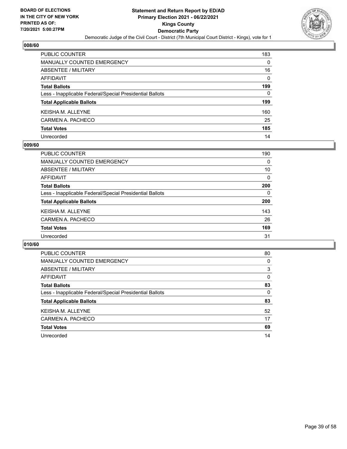

| <b>PUBLIC COUNTER</b>                                    | 183      |
|----------------------------------------------------------|----------|
| <b>MANUALLY COUNTED EMERGENCY</b>                        | 0        |
| <b>ABSENTEE / MILITARY</b>                               | 16       |
| <b>AFFIDAVIT</b>                                         | $\Omega$ |
| <b>Total Ballots</b>                                     | 199      |
| Less - Inapplicable Federal/Special Presidential Ballots | 0        |
| <b>Total Applicable Ballots</b>                          | 199      |
| <b>KEISHA M. ALLEYNE</b>                                 | 160      |
| CARMEN A. PACHECO                                        | 25       |
| <b>Total Votes</b>                                       | 185      |
| Unrecorded                                               | 14       |

#### **009/60**

| PUBLIC COUNTER                                           | 190      |
|----------------------------------------------------------|----------|
| <b>MANUALLY COUNTED EMERGENCY</b>                        | 0        |
| <b>ABSENTEE / MILITARY</b>                               | 10       |
| AFFIDAVIT                                                | 0        |
| <b>Total Ballots</b>                                     | 200      |
| Less - Inapplicable Federal/Special Presidential Ballots | $\Omega$ |
| <b>Total Applicable Ballots</b>                          | 200      |
| <b>KEISHA M. ALLEYNE</b>                                 | 143      |
| CARMEN A. PACHECO                                        | 26       |
| <b>Total Votes</b>                                       | 169      |
| Unrecorded                                               | 31       |

| PUBLIC COUNTER                                           | 80       |
|----------------------------------------------------------|----------|
| MANUALLY COUNTED EMERGENCY                               | 0        |
| ABSENTEE / MILITARY                                      | 3        |
| AFFIDAVIT                                                | $\Omega$ |
| <b>Total Ballots</b>                                     | 83       |
| Less - Inapplicable Federal/Special Presidential Ballots | 0        |
| <b>Total Applicable Ballots</b>                          | 83       |
| <b>KEISHAM, ALLEYNE</b>                                  | 52       |
| CARMEN A. PACHECO                                        | 17       |
| <b>Total Votes</b>                                       | 69       |
| Unrecorded                                               | 14       |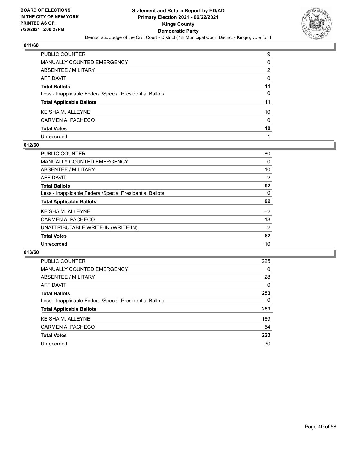

| PUBLIC COUNTER                                           | 9        |
|----------------------------------------------------------|----------|
| <b>MANUALLY COUNTED EMERGENCY</b>                        | 0        |
| ABSENTEE / MILITARY                                      | 2        |
| AFFIDAVIT                                                | $\Omega$ |
| <b>Total Ballots</b>                                     | 11       |
| Less - Inapplicable Federal/Special Presidential Ballots | 0        |
| <b>Total Applicable Ballots</b>                          | 11       |
| KEISHA M. ALLEYNE                                        | 10       |
| CARMEN A. PACHECO                                        | 0        |
| <b>Total Votes</b>                                       | 10       |
| Unrecorded                                               |          |

#### **012/60**

| <b>PUBLIC COUNTER</b>                                    | 80 |
|----------------------------------------------------------|----|
| <b>MANUALLY COUNTED EMERGENCY</b>                        | 0  |
| ABSENTEE / MILITARY                                      | 10 |
| AFFIDAVIT                                                | 2  |
| <b>Total Ballots</b>                                     | 92 |
| Less - Inapplicable Federal/Special Presidential Ballots | 0  |
| <b>Total Applicable Ballots</b>                          | 92 |
| <b>KEISHA M. ALLEYNE</b>                                 | 62 |
| CARMEN A. PACHECO                                        | 18 |
| UNATTRIBUTABLE WRITE-IN (WRITE-IN)                       | 2  |
| <b>Total Votes</b>                                       | 82 |
| Unrecorded                                               | 10 |

| <b>PUBLIC COUNTER</b>                                    | 225      |
|----------------------------------------------------------|----------|
| MANUALLY COUNTED EMERGENCY                               | $\Omega$ |
| ABSENTEE / MILITARY                                      | 28       |
| AFFIDAVIT                                                | 0        |
| <b>Total Ballots</b>                                     | 253      |
| Less - Inapplicable Federal/Special Presidential Ballots | $\Omega$ |
| <b>Total Applicable Ballots</b>                          | 253      |
| KEISHA M. ALLEYNE                                        | 169      |
| CARMEN A. PACHECO                                        | 54       |
| <b>Total Votes</b>                                       | 223      |
| Unrecorded                                               | 30       |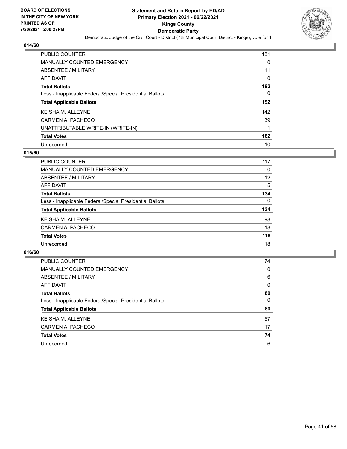

| PUBLIC COUNTER                                           | 181 |
|----------------------------------------------------------|-----|
| <b>MANUALLY COUNTED EMERGENCY</b>                        | 0   |
| ABSENTEE / MILITARY                                      | 11  |
| AFFIDAVIT                                                | 0   |
| <b>Total Ballots</b>                                     | 192 |
| Less - Inapplicable Federal/Special Presidential Ballots | 0   |
| <b>Total Applicable Ballots</b>                          | 192 |
| <b>KEISHA M. ALLEYNE</b>                                 | 142 |
| CARMEN A. PACHECO                                        | 39  |
| UNATTRIBUTABLE WRITE-IN (WRITE-IN)                       |     |
| <b>Total Votes</b>                                       | 182 |
| Unrecorded                                               | 10  |

#### **015/60**

| PUBLIC COUNTER                                           | 117      |
|----------------------------------------------------------|----------|
| <b>MANUALLY COUNTED EMERGENCY</b>                        | 0        |
| <b>ABSENTEE / MILITARY</b>                               | 12       |
| AFFIDAVIT                                                | 5        |
| <b>Total Ballots</b>                                     | 134      |
| Less - Inapplicable Federal/Special Presidential Ballots | $\Omega$ |
| <b>Total Applicable Ballots</b>                          | 134      |
| <b>KEISHAM, ALLEYNE</b>                                  | 98       |
| CARMEN A. PACHECO                                        | 18       |
| <b>Total Votes</b>                                       | 116      |
| Unrecorded                                               | 18       |

| <b>PUBLIC COUNTER</b>                                    | 74       |
|----------------------------------------------------------|----------|
| MANUALLY COUNTED EMERGENCY                               | $\Omega$ |
| ABSENTEE / MILITARY                                      | 6        |
| AFFIDAVIT                                                | $\Omega$ |
| <b>Total Ballots</b>                                     | 80       |
| Less - Inapplicable Federal/Special Presidential Ballots | $\Omega$ |
| <b>Total Applicable Ballots</b>                          | 80       |
| KEISHA M. ALLEYNE                                        | 57       |
| CARMEN A. PACHECO                                        | 17       |
| <b>Total Votes</b>                                       | 74       |
| Unrecorded                                               | 6        |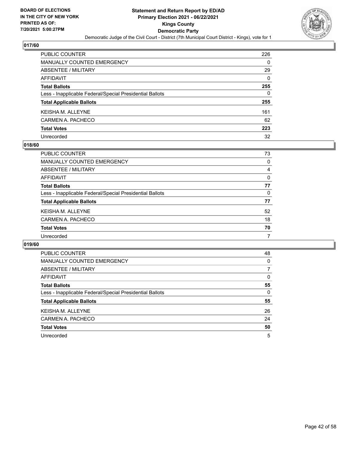

| <b>PUBLIC COUNTER</b>                                    | 226      |
|----------------------------------------------------------|----------|
| <b>MANUALLY COUNTED EMERGENCY</b>                        | 0        |
| <b>ABSENTEE / MILITARY</b>                               | 29       |
| <b>AFFIDAVIT</b>                                         | $\Omega$ |
| <b>Total Ballots</b>                                     | 255      |
| Less - Inapplicable Federal/Special Presidential Ballots | 0        |
| <b>Total Applicable Ballots</b>                          | 255      |
| <b>KEISHA M. ALLEYNE</b>                                 | 161      |
| CARMEN A. PACHECO                                        | 62       |
| <b>Total Votes</b>                                       | 223      |
| Unrecorded                                               | 32       |

#### **018/60**

| PUBLIC COUNTER                                           | 73       |
|----------------------------------------------------------|----------|
| <b>MANUALLY COUNTED EMERGENCY</b>                        | $\Omega$ |
| ABSENTEE / MILITARY                                      | 4        |
| AFFIDAVIT                                                | $\Omega$ |
| <b>Total Ballots</b>                                     | 77       |
| Less - Inapplicable Federal/Special Presidential Ballots | $\Omega$ |
| <b>Total Applicable Ballots</b>                          | 77       |
| <b>KEISHA M. ALLEYNE</b>                                 | 52       |
| CARMEN A. PACHECO                                        | 18       |
| <b>Total Votes</b>                                       | 70       |
| Unrecorded                                               | 7        |

| <b>PUBLIC COUNTER</b>                                    | 48       |
|----------------------------------------------------------|----------|
| <b>MANUALLY COUNTED EMERGENCY</b>                        | 0        |
| ABSENTEE / MILITARY                                      | 7        |
| AFFIDAVIT                                                | $\Omega$ |
| <b>Total Ballots</b>                                     | 55       |
| Less - Inapplicable Federal/Special Presidential Ballots | 0        |
| <b>Total Applicable Ballots</b>                          | 55       |
| <b>KEISHA M. ALLEYNE</b>                                 | 26       |
| CARMEN A. PACHECO                                        | 24       |
| <b>Total Votes</b>                                       | 50       |
| Unrecorded                                               | 5        |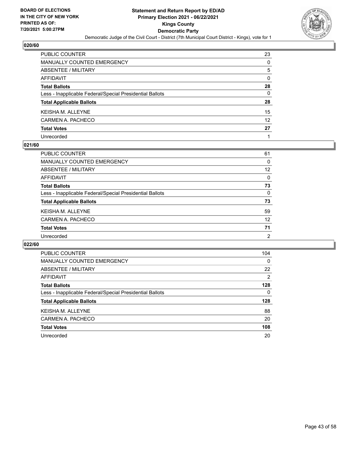

| PUBLIC COUNTER                                           | 23                |
|----------------------------------------------------------|-------------------|
| MANUALLY COUNTED EMERGENCY                               | 0                 |
| ABSENTEE / MILITARY                                      | 5                 |
| AFFIDAVIT                                                | 0                 |
| <b>Total Ballots</b>                                     | 28                |
| Less - Inapplicable Federal/Special Presidential Ballots | $\Omega$          |
| <b>Total Applicable Ballots</b>                          | 28                |
| KEISHA M. ALLEYNE                                        | 15                |
| CARMEN A. PACHECO                                        | $12 \overline{ }$ |
| <b>Total Votes</b>                                       | 27                |
| Unrecorded                                               |                   |

#### **021/60**

| <b>PUBLIC COUNTER</b>                                    | 61       |
|----------------------------------------------------------|----------|
| <b>MANUALLY COUNTED EMERGENCY</b>                        | 0        |
| ABSENTEE / MILITARY                                      | 12       |
| AFFIDAVIT                                                | $\Omega$ |
| <b>Total Ballots</b>                                     | 73       |
| Less - Inapplicable Federal/Special Presidential Ballots | $\Omega$ |
| <b>Total Applicable Ballots</b>                          | 73       |
| <b>KEISHA M. ALLEYNE</b>                                 | 59       |
| CARMEN A. PACHECO                                        | 12       |
| <b>Total Votes</b>                                       | 71       |
| Unrecorded                                               | 2        |

| PUBLIC COUNTER                                           | 104            |
|----------------------------------------------------------|----------------|
| <b>MANUALLY COUNTED EMERGENCY</b>                        | $\Omega$       |
| ABSENTEE / MILITARY                                      | 22             |
| AFFIDAVIT                                                | $\overline{2}$ |
| <b>Total Ballots</b>                                     | 128            |
| Less - Inapplicable Federal/Special Presidential Ballots | 0              |
| <b>Total Applicable Ballots</b>                          | 128            |
| <b>KEISHAM, ALLEYNE</b>                                  | 88             |
| CARMEN A. PACHECO                                        | 20             |
| <b>Total Votes</b>                                       | 108            |
| Unrecorded                                               | 20             |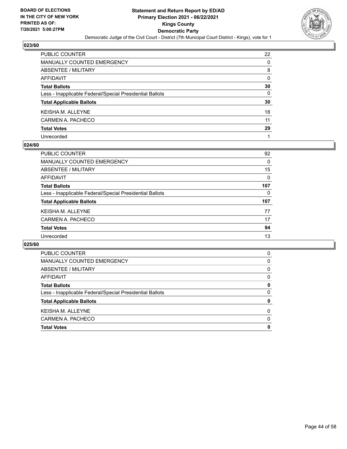

| PUBLIC COUNTER                                           | 22 |
|----------------------------------------------------------|----|
| MANUALLY COUNTED EMERGENCY                               | 0  |
| ABSENTEE / MILITARY                                      | 8  |
| AFFIDAVIT                                                | 0  |
| <b>Total Ballots</b>                                     | 30 |
| Less - Inapplicable Federal/Special Presidential Ballots | 0  |
| <b>Total Applicable Ballots</b>                          | 30 |
| KEISHA M. ALLEYNE                                        | 18 |
| CARMEN A. PACHECO                                        | 11 |
| <b>Total Votes</b>                                       | 29 |
| Unrecorded                                               |    |

#### **024/60**

| PUBLIC COUNTER                                           | 92       |
|----------------------------------------------------------|----------|
| <b>MANUALLY COUNTED EMERGENCY</b>                        | 0        |
| ABSENTEE / MILITARY                                      | 15       |
| AFFIDAVIT                                                | $\Omega$ |
| <b>Total Ballots</b>                                     | 107      |
| Less - Inapplicable Federal/Special Presidential Ballots | 0        |
| <b>Total Applicable Ballots</b>                          | 107      |
| <b>KEISHA M. ALLEYNE</b>                                 | 77       |
| CARMEN A. PACHECO                                        | 17       |
| <b>Total Votes</b>                                       | 94       |
| Unrecorded                                               | 13       |

| <b>Total Votes</b>                                       | 0        |
|----------------------------------------------------------|----------|
| CARMEN A. PACHECO                                        | $\Omega$ |
| <b>KEISHA M. ALLEYNE</b>                                 | 0        |
| <b>Total Applicable Ballots</b>                          | 0        |
| Less - Inapplicable Federal/Special Presidential Ballots | 0        |
| <b>Total Ballots</b>                                     | 0        |
| AFFIDAVIT                                                | 0        |
| ABSENTEE / MILITARY                                      | 0        |
| MANUALLY COUNTED EMERGENCY                               | 0        |
| <b>PUBLIC COUNTER</b>                                    | 0        |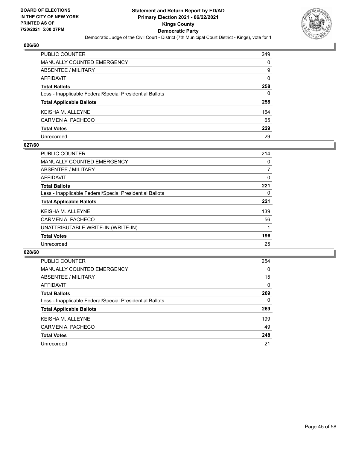

| <b>PUBLIC COUNTER</b>                                    | 249 |
|----------------------------------------------------------|-----|
| <b>MANUALLY COUNTED EMERGENCY</b>                        | 0   |
| <b>ABSENTEE / MILITARY</b>                               | 9   |
| <b>AFFIDAVIT</b>                                         | 0   |
| <b>Total Ballots</b>                                     | 258 |
| Less - Inapplicable Federal/Special Presidential Ballots | 0   |
| <b>Total Applicable Ballots</b>                          | 258 |
| <b>KEISHA M. ALLEYNE</b>                                 | 164 |
| CARMEN A. PACHECO                                        | 65  |
| <b>Total Votes</b>                                       | 229 |
| Unrecorded                                               | 29  |

#### **027/60**

| PUBLIC COUNTER                                           | 214      |
|----------------------------------------------------------|----------|
| <b>MANUALLY COUNTED EMERGENCY</b>                        | 0        |
| ABSENTEE / MILITARY                                      | 7        |
| AFFIDAVIT                                                | $\Omega$ |
| <b>Total Ballots</b>                                     | 221      |
| Less - Inapplicable Federal/Special Presidential Ballots | 0        |
| <b>Total Applicable Ballots</b>                          | 221      |
| <b>KEISHA M. ALLEYNE</b>                                 | 139      |
| CARMEN A. PACHECO                                        | 56       |
| UNATTRIBUTABLE WRITE-IN (WRITE-IN)                       |          |
| <b>Total Votes</b>                                       | 196      |
| Unrecorded                                               | 25       |

| PUBLIC COUNTER                                           | 254      |
|----------------------------------------------------------|----------|
| <b>MANUALLY COUNTED EMERGENCY</b>                        | $\Omega$ |
| ABSENTEE / MILITARY                                      | 15       |
| AFFIDAVIT                                                | $\Omega$ |
| <b>Total Ballots</b>                                     | 269      |
| Less - Inapplicable Federal/Special Presidential Ballots | $\Omega$ |
| <b>Total Applicable Ballots</b>                          | 269      |
| <b>KEISHA M. ALLEYNE</b>                                 | 199      |
| CARMEN A. PACHECO                                        | 49       |
| <b>Total Votes</b>                                       | 248      |
| Unrecorded                                               | 21       |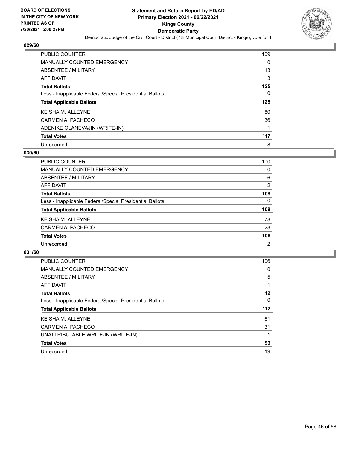

| PUBLIC COUNTER                                           | 109 |
|----------------------------------------------------------|-----|
| <b>MANUALLY COUNTED EMERGENCY</b>                        | 0   |
| ABSENTEE / MILITARY                                      | 13  |
| AFFIDAVIT                                                | 3   |
| <b>Total Ballots</b>                                     | 125 |
| Less - Inapplicable Federal/Special Presidential Ballots | 0   |
| <b>Total Applicable Ballots</b>                          | 125 |
| <b>KEISHA M. ALLEYNE</b>                                 | 80  |
| CARMEN A. PACHECO                                        | 36  |
| ADENIKE OLANEVAJIN (WRITE-IN)                            | 1   |
| <b>Total Votes</b>                                       | 117 |
|                                                          |     |

#### **030/60**

| <b>PUBLIC COUNTER</b>                                    | 100            |
|----------------------------------------------------------|----------------|
| <b>MANUALLY COUNTED EMERGENCY</b>                        | 0              |
| ABSENTEE / MILITARY                                      | 6              |
| AFFIDAVIT                                                | 2              |
| <b>Total Ballots</b>                                     | 108            |
| Less - Inapplicable Federal/Special Presidential Ballots | $\Omega$       |
| <b>Total Applicable Ballots</b>                          | 108            |
| <b>KEISHA M. ALLEYNE</b>                                 | 78             |
| CARMEN A. PACHECO                                        | 28             |
| <b>Total Votes</b>                                       | 106            |
| Unrecorded                                               | $\overline{2}$ |

| <b>PUBLIC COUNTER</b>                                    | 106      |
|----------------------------------------------------------|----------|
| <b>MANUALLY COUNTED EMERGENCY</b>                        | 0        |
| ABSENTEE / MILITARY                                      | 5        |
| AFFIDAVIT                                                |          |
| <b>Total Ballots</b>                                     | 112      |
| Less - Inapplicable Federal/Special Presidential Ballots | $\Omega$ |
| <b>Total Applicable Ballots</b>                          | 112      |
| <b>KEISHA M. ALLEYNE</b>                                 | 61       |
| CARMEN A. PACHECO                                        | 31       |
| UNATTRIBUTABLE WRITE-IN (WRITE-IN)                       |          |
| <b>Total Votes</b>                                       | 93       |
| Unrecorded                                               | 19       |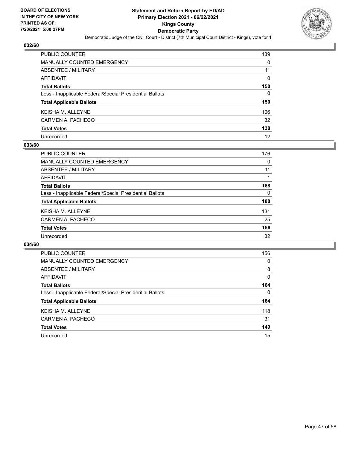

| <b>PUBLIC COUNTER</b>                                    | 139      |
|----------------------------------------------------------|----------|
| <b>MANUALLY COUNTED EMERGENCY</b>                        | 0        |
| <b>ABSENTEE / MILITARY</b>                               | 11       |
| <b>AFFIDAVIT</b>                                         | $\Omega$ |
| <b>Total Ballots</b>                                     | 150      |
| Less - Inapplicable Federal/Special Presidential Ballots | 0        |
| <b>Total Applicable Ballots</b>                          | 150      |
| <b>KEISHA M. ALLEYNE</b>                                 | 106      |
| CARMEN A. PACHECO                                        | 32       |
| <b>Total Votes</b>                                       | 138      |
| Unrecorded                                               | 12       |

#### **033/60**

| <b>PUBLIC COUNTER</b>                                    | 176      |
|----------------------------------------------------------|----------|
| MANUALLY COUNTED EMERGENCY                               | 0        |
| ABSENTEE / MILITARY                                      | 11       |
| AFFIDAVIT                                                |          |
| <b>Total Ballots</b>                                     | 188      |
| Less - Inapplicable Federal/Special Presidential Ballots | $\Omega$ |
| <b>Total Applicable Ballots</b>                          | 188      |
| <b>KEISHA M. ALLEYNE</b>                                 | 131      |
| CARMEN A. PACHECO                                        | 25       |
| <b>Total Votes</b>                                       | 156      |
| Unrecorded                                               | 32       |

| PUBLIC COUNTER                                           | 156      |
|----------------------------------------------------------|----------|
| <b>MANUALLY COUNTED EMERGENCY</b>                        | 0        |
| ABSENTEE / MILITARY                                      | 8        |
| <b>AFFIDAVIT</b>                                         | $\Omega$ |
| <b>Total Ballots</b>                                     | 164      |
| Less - Inapplicable Federal/Special Presidential Ballots | $\Omega$ |
| <b>Total Applicable Ballots</b>                          | 164      |
| <b>KEISHAM, ALLEYNE</b>                                  | 118      |
| CARMEN A. PACHECO                                        | 31       |
| <b>Total Votes</b>                                       | 149      |
| Unrecorded                                               | 15       |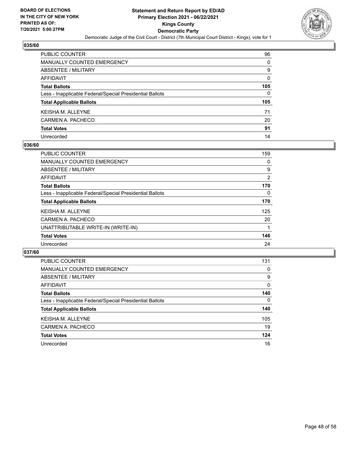

| PUBLIC COUNTER                                           | 96           |
|----------------------------------------------------------|--------------|
| <b>MANUALLY COUNTED EMERGENCY</b>                        | 0            |
| ABSENTEE / MILITARY                                      | 9            |
| <b>AFFIDAVIT</b>                                         | 0            |
| <b>Total Ballots</b>                                     | 105          |
| Less - Inapplicable Federal/Special Presidential Ballots | $\mathbf{0}$ |
| <b>Total Applicable Ballots</b>                          | 105          |
| KEISHA M. ALLEYNE                                        | 71           |
| CARMEN A. PACHECO                                        | 20           |
| <b>Total Votes</b>                                       | 91           |
| Unrecorded                                               | 14           |

#### **036/60**

| <b>PUBLIC COUNTER</b>                                    | 159            |
|----------------------------------------------------------|----------------|
| <b>MANUALLY COUNTED EMERGENCY</b>                        | 0              |
| ABSENTEE / MILITARY                                      | 9              |
| AFFIDAVIT                                                | $\overline{2}$ |
| <b>Total Ballots</b>                                     | 170            |
| Less - Inapplicable Federal/Special Presidential Ballots | $\Omega$       |
| <b>Total Applicable Ballots</b>                          | 170            |
| <b>KEISHA M. ALLEYNE</b>                                 | 125            |
| CARMEN A. PACHECO                                        | 20             |
| UNATTRIBUTABLE WRITE-IN (WRITE-IN)                       |                |
| <b>Total Votes</b>                                       | 146            |
| Unrecorded                                               | 24             |

| <b>PUBLIC COUNTER</b>                                    | 131      |
|----------------------------------------------------------|----------|
| <b>MANUALLY COUNTED EMERGENCY</b>                        | 0        |
| ABSENTEE / MILITARY                                      | 9        |
| AFFIDAVIT                                                | $\Omega$ |
| <b>Total Ballots</b>                                     | 140      |
| Less - Inapplicable Federal/Special Presidential Ballots | $\Omega$ |
| <b>Total Applicable Ballots</b>                          | 140      |
| <b>KEISHA M. ALLEYNE</b>                                 | 105      |
| CARMEN A. PACHECO                                        | 19       |
| <b>Total Votes</b>                                       | 124      |
| Unrecorded                                               | 16       |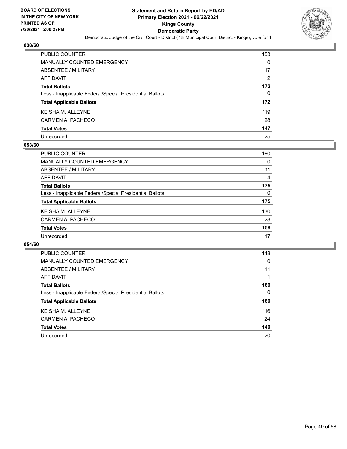

| PUBLIC COUNTER                                           | 153      |
|----------------------------------------------------------|----------|
| <b>MANUALLY COUNTED EMERGENCY</b>                        | 0        |
| <b>ABSENTEE / MILITARY</b>                               | 17       |
| <b>AFFIDAVIT</b>                                         | 2        |
| <b>Total Ballots</b>                                     | 172      |
| Less - Inapplicable Federal/Special Presidential Ballots | $\Omega$ |
| <b>Total Applicable Ballots</b>                          | 172      |
| <b>KEISHA M. ALLEYNE</b>                                 | 119      |
| CARMEN A. PACHECO                                        | 28       |
| <b>Total Votes</b>                                       | 147      |
| Unrecorded                                               | 25       |

#### **053/60**

| <b>PUBLIC COUNTER</b>                                    | 160      |
|----------------------------------------------------------|----------|
| <b>MANUALLY COUNTED EMERGENCY</b>                        | 0        |
| ABSENTEE / MILITARY                                      | 11       |
| AFFIDAVIT                                                | 4        |
| <b>Total Ballots</b>                                     | 175      |
| Less - Inapplicable Federal/Special Presidential Ballots | $\Omega$ |
| <b>Total Applicable Ballots</b>                          | 175      |
| <b>KEISHA M. ALLEYNE</b>                                 | 130      |
| CARMEN A. PACHECO                                        | 28       |
| <b>Total Votes</b>                                       | 158      |
| Unrecorded                                               | 17       |
|                                                          |          |

| PUBLIC COUNTER                                           | 148 |
|----------------------------------------------------------|-----|
| <b>MANUALLY COUNTED EMERGENCY</b>                        | 0   |
| ABSENTEE / MILITARY                                      | 11  |
| AFFIDAVIT                                                |     |
| <b>Total Ballots</b>                                     | 160 |
| Less - Inapplicable Federal/Special Presidential Ballots | 0   |
| <b>Total Applicable Ballots</b>                          | 160 |
| <b>KEISHAM, ALLEYNE</b>                                  | 116 |
| CARMEN A. PACHECO                                        | 24  |
| <b>Total Votes</b>                                       | 140 |
| Unrecorded                                               | 20  |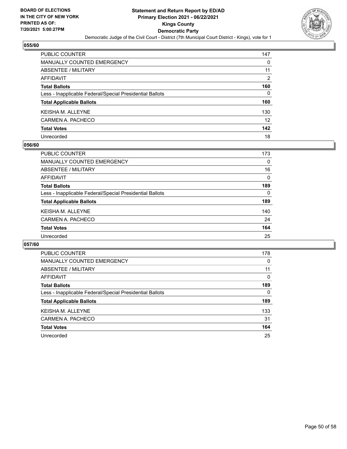

| PUBLIC COUNTER                                           | 147 |
|----------------------------------------------------------|-----|
| <b>MANUALLY COUNTED EMERGENCY</b>                        | 0   |
| ABSENTEE / MILITARY                                      | 11  |
| <b>AFFIDAVIT</b>                                         | 2   |
| <b>Total Ballots</b>                                     | 160 |
| Less - Inapplicable Federal/Special Presidential Ballots | 0   |
| <b>Total Applicable Ballots</b>                          | 160 |
| KEISHA M. ALLEYNE                                        | 130 |
| CARMEN A. PACHECO                                        | 12  |
| <b>Total Votes</b>                                       | 142 |
| Unrecorded                                               | 18  |

#### **056/60**

| <b>PUBLIC COUNTER</b>                                    | 173      |
|----------------------------------------------------------|----------|
| <b>MANUALLY COUNTED EMERGENCY</b>                        | 0        |
| ABSENTEE / MILITARY                                      | 16       |
| AFFIDAVIT                                                | 0        |
| <b>Total Ballots</b>                                     | 189      |
| Less - Inapplicable Federal/Special Presidential Ballots | $\Omega$ |
| <b>Total Applicable Ballots</b>                          | 189      |
| <b>KEISHA M. ALLEYNE</b>                                 | 140      |
| CARMEN A. PACHECO                                        | 24       |
| <b>Total Votes</b>                                       | 164      |
| Unrecorded                                               | 25       |

| PUBLIC COUNTER                                           | 178      |
|----------------------------------------------------------|----------|
| <b>MANUALLY COUNTED EMERGENCY</b>                        | 0        |
| ABSENTEE / MILITARY                                      | 11       |
| AFFIDAVIT                                                | $\Omega$ |
| <b>Total Ballots</b>                                     | 189      |
| Less - Inapplicable Federal/Special Presidential Ballots | 0        |
| <b>Total Applicable Ballots</b>                          | 189      |
| <b>KEISHA M. ALLEYNE</b>                                 | 133      |
| CARMEN A. PACHECO                                        | 31       |
| <b>Total Votes</b>                                       | 164      |
| Unrecorded                                               | 25       |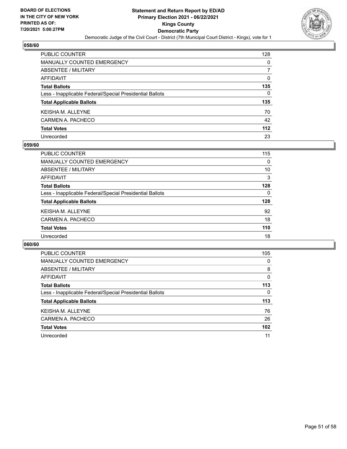

| PUBLIC COUNTER                                           | 128 |
|----------------------------------------------------------|-----|
| <b>MANUALLY COUNTED EMERGENCY</b>                        | 0   |
| ABSENTEE / MILITARY                                      |     |
| <b>AFFIDAVIT</b>                                         | 0   |
| <b>Total Ballots</b>                                     | 135 |
| Less - Inapplicable Federal/Special Presidential Ballots | 0   |
| <b>Total Applicable Ballots</b>                          | 135 |
| KEISHA M. ALLEYNE                                        | 70  |
| CARMEN A. PACHECO                                        | 42  |
| <b>Total Votes</b>                                       | 112 |
| Unrecorded                                               | 23  |

#### **059/60**

| <b>PUBLIC COUNTER</b>                                    | 115      |
|----------------------------------------------------------|----------|
| MANUALLY COUNTED EMERGENCY                               | 0        |
| ABSENTEE / MILITARY                                      | 10       |
| AFFIDAVIT                                                | 3        |
| <b>Total Ballots</b>                                     | 128      |
| Less - Inapplicable Federal/Special Presidential Ballots | $\Omega$ |
| <b>Total Applicable Ballots</b>                          | 128      |
| <b>KEISHA M. ALLEYNE</b>                                 | 92       |
| CARMEN A. PACHECO                                        | 18       |
| <b>Total Votes</b>                                       | 110      |
| Unrecorded                                               | 18       |

| PUBLIC COUNTER                                           | 105      |
|----------------------------------------------------------|----------|
| <b>MANUALLY COUNTED EMERGENCY</b>                        | 0        |
| ABSENTEE / MILITARY                                      | 8        |
| <b>AFFIDAVIT</b>                                         | $\Omega$ |
| <b>Total Ballots</b>                                     | 113      |
| Less - Inapplicable Federal/Special Presidential Ballots | $\Omega$ |
| <b>Total Applicable Ballots</b>                          | 113      |
| <b>KEISHAM, ALLEYNE</b>                                  | 76       |
| CARMEN A. PACHECO                                        | 26       |
| <b>Total Votes</b>                                       | 102      |
| Unrecorded                                               | 11       |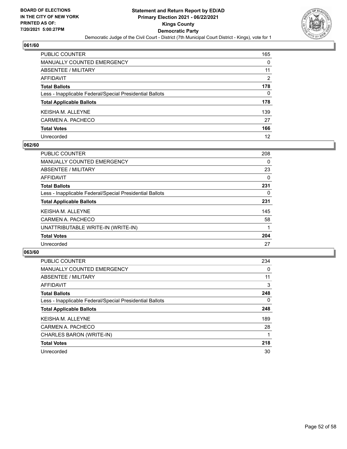

| PUBLIC COUNTER                                           | 165            |
|----------------------------------------------------------|----------------|
| MANUALLY COUNTED EMERGENCY                               | 0              |
| ABSENTEE / MILITARY                                      | 11             |
| AFFIDAVIT                                                | $\overline{2}$ |
| <b>Total Ballots</b>                                     | 178            |
| Less - Inapplicable Federal/Special Presidential Ballots | 0              |
| <b>Total Applicable Ballots</b>                          | 178            |
| KEISHA M. ALLEYNE                                        | 139            |
| CARMEN A. PACHECO                                        | 27             |
| <b>Total Votes</b>                                       | 166            |
| Unrecorded                                               | 12             |

#### **062/60**

| <b>PUBLIC COUNTER</b>                                    | 208 |
|----------------------------------------------------------|-----|
| MANUALLY COUNTED EMERGENCY                               | 0   |
| ABSENTEE / MILITARY                                      | 23  |
| AFFIDAVIT                                                | 0   |
| <b>Total Ballots</b>                                     | 231 |
| Less - Inapplicable Federal/Special Presidential Ballots | 0   |
| <b>Total Applicable Ballots</b>                          | 231 |
| <b>KEISHA M. ALLEYNE</b>                                 | 145 |
| CARMEN A. PACHECO                                        | 58  |
| UNATTRIBUTABLE WRITE-IN (WRITE-IN)                       |     |
| <b>Total Votes</b>                                       | 204 |
| Unrecorded                                               | 27  |

| PUBLIC COUNTER                                           | 234      |
|----------------------------------------------------------|----------|
| <b>MANUALLY COUNTED EMERGENCY</b>                        | 0        |
| ABSENTEE / MILITARY                                      | 11       |
| <b>AFFIDAVIT</b>                                         | 3        |
| <b>Total Ballots</b>                                     | 248      |
| Less - Inapplicable Federal/Special Presidential Ballots | $\Omega$ |
| <b>Total Applicable Ballots</b>                          | 248      |
| <b>KEISHAM, ALLEYNE</b>                                  | 189      |
| CARMEN A. PACHECO                                        | 28       |
| CHARLES BARON (WRITE-IN)                                 |          |
| <b>Total Votes</b>                                       | 218      |
| Unrecorded                                               | 30       |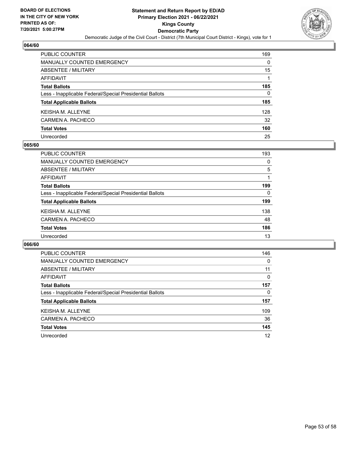

| PUBLIC COUNTER                                           | 169 |
|----------------------------------------------------------|-----|
| <b>MANUALLY COUNTED EMERGENCY</b>                        | 0   |
| ABSENTEE / MILITARY                                      | 15  |
| <b>AFFIDAVIT</b>                                         |     |
| <b>Total Ballots</b>                                     | 185 |
| Less - Inapplicable Federal/Special Presidential Ballots | 0   |
| <b>Total Applicable Ballots</b>                          | 185 |
| KEISHA M. ALLEYNE                                        | 128 |
| CARMEN A. PACHECO                                        | 32  |
| <b>Total Votes</b>                                       | 160 |
| Unrecorded                                               | 25  |

#### **065/60**

| <b>PUBLIC COUNTER</b>                                    | 193 |
|----------------------------------------------------------|-----|
| MANUALLY COUNTED EMERGENCY                               | 0   |
| <b>ABSENTEE / MILITARY</b>                               | 5   |
| AFFIDAVIT                                                |     |
| <b>Total Ballots</b>                                     | 199 |
| Less - Inapplicable Federal/Special Presidential Ballots | 0   |
| <b>Total Applicable Ballots</b>                          | 199 |
| <b>KEISHA M. ALLEYNE</b>                                 | 138 |
| CARMEN A. PACHECO                                        | 48  |
| <b>Total Votes</b>                                       | 186 |
| Unrecorded                                               | 13  |

| PUBLIC COUNTER                                           | 146      |
|----------------------------------------------------------|----------|
| <b>MANUALLY COUNTED EMERGENCY</b>                        | $\Omega$ |
| ABSENTEE / MILITARY                                      | 11       |
| AFFIDAVIT                                                | 0        |
| <b>Total Ballots</b>                                     | 157      |
| Less - Inapplicable Federal/Special Presidential Ballots | 0        |
| <b>Total Applicable Ballots</b>                          | 157      |
| <b>KEISHA M. ALLEYNE</b>                                 | 109      |
| CARMEN A. PACHECO                                        | 36       |
| <b>Total Votes</b>                                       | 145      |
| Unrecorded                                               | 12       |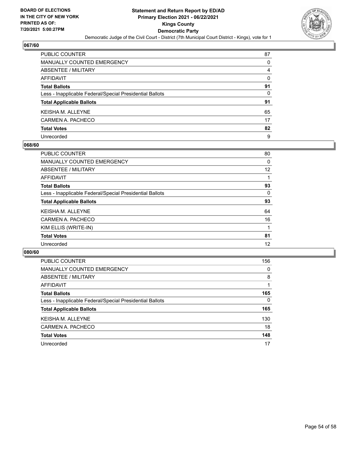

| PUBLIC COUNTER                                           | 87 |
|----------------------------------------------------------|----|
| <b>MANUALLY COUNTED EMERGENCY</b>                        | 0  |
| ABSENTEE / MILITARY                                      | 4  |
| <b>AFFIDAVIT</b>                                         | 0  |
| <b>Total Ballots</b>                                     | 91 |
| Less - Inapplicable Federal/Special Presidential Ballots | 0  |
| <b>Total Applicable Ballots</b>                          | 91 |
| KEISHA M. ALLEYNE                                        | 65 |
| CARMEN A. PACHECO                                        | 17 |
| <b>Total Votes</b>                                       | 82 |
| Unrecorded                                               | 9  |

#### **068/60**

| <b>PUBLIC COUNTER</b>                                    | 80 |
|----------------------------------------------------------|----|
| MANUALLY COUNTED EMERGENCY                               | 0  |
| ABSENTEE / MILITARY                                      | 12 |
| <b>AFFIDAVIT</b>                                         |    |
| <b>Total Ballots</b>                                     | 93 |
| Less - Inapplicable Federal/Special Presidential Ballots | 0  |
| <b>Total Applicable Ballots</b>                          | 93 |
| <b>KEISHA M. ALLEYNE</b>                                 | 64 |
| CARMEN A. PACHECO                                        | 16 |
| KIM ELLIS (WRITE-IN)                                     |    |
| <b>Total Votes</b>                                       | 81 |
| Unrecorded                                               | 12 |

| <b>PUBLIC COUNTER</b>                                    | 156      |
|----------------------------------------------------------|----------|
| <b>MANUALLY COUNTED EMERGENCY</b>                        | 0        |
| ABSENTEE / MILITARY                                      | 8        |
| AFFIDAVIT                                                |          |
| <b>Total Ballots</b>                                     | 165      |
| Less - Inapplicable Federal/Special Presidential Ballots | $\Omega$ |
| <b>Total Applicable Ballots</b>                          | 165      |
| <b>KEISHA M. ALLEYNE</b>                                 | 130      |
| CARMEN A. PACHECO                                        | 18       |
| <b>Total Votes</b>                                       | 148      |
| Unrecorded                                               | 17       |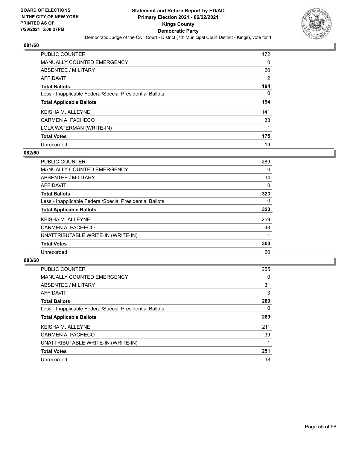

| PUBLIC COUNTER                                           | 172 |
|----------------------------------------------------------|-----|
| <b>MANUALLY COUNTED EMERGENCY</b>                        | 0   |
| ABSENTEE / MILITARY                                      | 20  |
| AFFIDAVIT                                                | 2   |
| <b>Total Ballots</b>                                     | 194 |
| Less - Inapplicable Federal/Special Presidential Ballots | 0   |
| <b>Total Applicable Ballots</b>                          | 194 |
| <b>KEISHA M. ALLEYNE</b>                                 | 141 |
| CARMEN A. PACHECO                                        | 33  |
| LOLA WATERMAN (WRITE-IN)                                 |     |
| <b>Total Votes</b>                                       | 175 |
| Unrecorded                                               | 19  |

#### **082/60**

| PUBLIC COUNTER                                           | 289      |
|----------------------------------------------------------|----------|
| <b>MANUALLY COUNTED EMERGENCY</b>                        | 0        |
| ABSENTEE / MILITARY                                      | 34       |
| AFFIDAVIT                                                | $\Omega$ |
| <b>Total Ballots</b>                                     | 323      |
| Less - Inapplicable Federal/Special Presidential Ballots | $\Omega$ |
| <b>Total Applicable Ballots</b>                          | 323      |
| <b>KEISHA M. ALLEYNE</b>                                 | 259      |
| CARMEN A. PACHECO                                        | 43       |
| UNATTRIBUTABLE WRITE-IN (WRITE-IN)                       |          |
| <b>Total Votes</b>                                       | 303      |
| Unrecorded                                               | 20       |

| <b>PUBLIC COUNTER</b>                                    | 255      |
|----------------------------------------------------------|----------|
| <b>MANUALLY COUNTED EMERGENCY</b>                        | $\Omega$ |
| ABSENTEE / MILITARY                                      | 31       |
| AFFIDAVIT                                                | 3        |
| <b>Total Ballots</b>                                     | 289      |
| Less - Inapplicable Federal/Special Presidential Ballots | $\Omega$ |
| <b>Total Applicable Ballots</b>                          | 289      |
| <b>KEISHA M. ALLEYNE</b>                                 | 211      |
| CARMEN A. PACHECO                                        | 39       |
| UNATTRIBUTABLE WRITE-IN (WRITE-IN)                       |          |
| <b>Total Votes</b>                                       | 251      |
| Unrecorded                                               | 38       |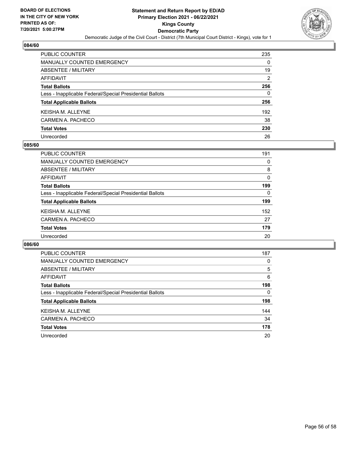

| PUBLIC COUNTER                                           | 235      |
|----------------------------------------------------------|----------|
| <b>MANUALLY COUNTED EMERGENCY</b>                        | 0        |
| <b>ABSENTEE / MILITARY</b>                               | 19       |
| <b>AFFIDAVIT</b>                                         | 2        |
| <b>Total Ballots</b>                                     | 256      |
| Less - Inapplicable Federal/Special Presidential Ballots | $\Omega$ |
| <b>Total Applicable Ballots</b>                          | 256      |
| <b>KEISHAM, ALLEYNE</b>                                  | 192      |
| CARMEN A. PACHECO                                        | 38       |
| <b>Total Votes</b>                                       | 230      |
| Unrecorded                                               | 26       |

#### **085/60**

| <b>PUBLIC COUNTER</b>                                    | 191      |
|----------------------------------------------------------|----------|
| MANUALLY COUNTED EMERGENCY                               | 0        |
| <b>ABSENTEE / MILITARY</b>                               | 8        |
| AFFIDAVIT                                                | 0        |
| <b>Total Ballots</b>                                     | 199      |
| Less - Inapplicable Federal/Special Presidential Ballots | $\Omega$ |
| <b>Total Applicable Ballots</b>                          | 199      |
| <b>KEISHA M. ALLEYNE</b>                                 | 152      |
| CARMEN A. PACHECO                                        | 27       |
| <b>Total Votes</b>                                       | 179      |
| Unrecorded                                               | 20       |

| PUBLIC COUNTER                                           | 187 |
|----------------------------------------------------------|-----|
| <b>MANUALLY COUNTED EMERGENCY</b>                        | 0   |
| ABSENTEE / MILITARY                                      | 5   |
| AFFIDAVIT                                                | 6   |
| <b>Total Ballots</b>                                     | 198 |
| Less - Inapplicable Federal/Special Presidential Ballots | 0   |
| <b>Total Applicable Ballots</b>                          | 198 |
| <b>KEISHA M. ALLEYNE</b>                                 | 144 |
| CARMEN A. PACHECO                                        | 34  |
| <b>Total Votes</b>                                       | 178 |
| Unrecorded                                               | 20  |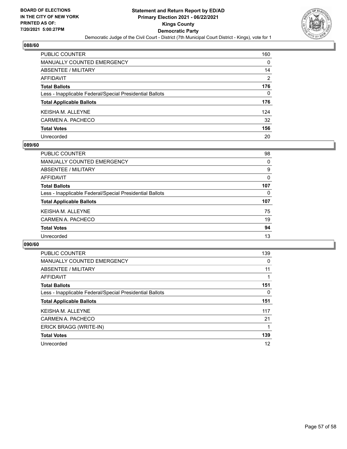

| PUBLIC COUNTER                                           | 160            |
|----------------------------------------------------------|----------------|
| <b>MANUALLY COUNTED EMERGENCY</b>                        | 0              |
| <b>ABSENTEE / MILITARY</b>                               | 14             |
| <b>AFFIDAVIT</b>                                         | $\overline{2}$ |
| <b>Total Ballots</b>                                     | 176            |
| Less - Inapplicable Federal/Special Presidential Ballots | 0              |
| <b>Total Applicable Ballots</b>                          | 176            |
| <b>KEISHA M. ALLEYNE</b>                                 | 124            |
| CARMEN A. PACHECO                                        | 32             |
| <b>Total Votes</b>                                       | 156            |
| Unrecorded                                               | 20             |

#### **089/60**

| <b>PUBLIC COUNTER</b>                                    | 98  |
|----------------------------------------------------------|-----|
| <b>MANUALLY COUNTED EMERGENCY</b>                        | 0   |
| ABSENTEE / MILITARY                                      | 9   |
| AFFIDAVIT                                                | 0   |
| <b>Total Ballots</b>                                     | 107 |
| Less - Inapplicable Federal/Special Presidential Ballots | 0   |
| <b>Total Applicable Ballots</b>                          | 107 |
| <b>KEISHA M. ALLEYNE</b>                                 | 75  |
| CARMEN A. PACHECO                                        | 19  |
| <b>Total Votes</b>                                       | 94  |
| Unrecorded                                               | 13  |
|                                                          |     |

| <b>PUBLIC COUNTER</b>                                    | 139 |
|----------------------------------------------------------|-----|
| MANUALLY COUNTED EMERGENCY                               | 0   |
| ABSENTEE / MILITARY                                      | 11  |
| AFFIDAVIT                                                |     |
| <b>Total Ballots</b>                                     | 151 |
| Less - Inapplicable Federal/Special Presidential Ballots | 0   |
| <b>Total Applicable Ballots</b>                          | 151 |
| <b>KEISHAM, ALLEYNE</b>                                  | 117 |
| CARMEN A. PACHECO                                        | 21  |
| ERICK BRAGG (WRITE-IN)                                   |     |
| <b>Total Votes</b>                                       | 139 |
| Unrecorded                                               | 12  |